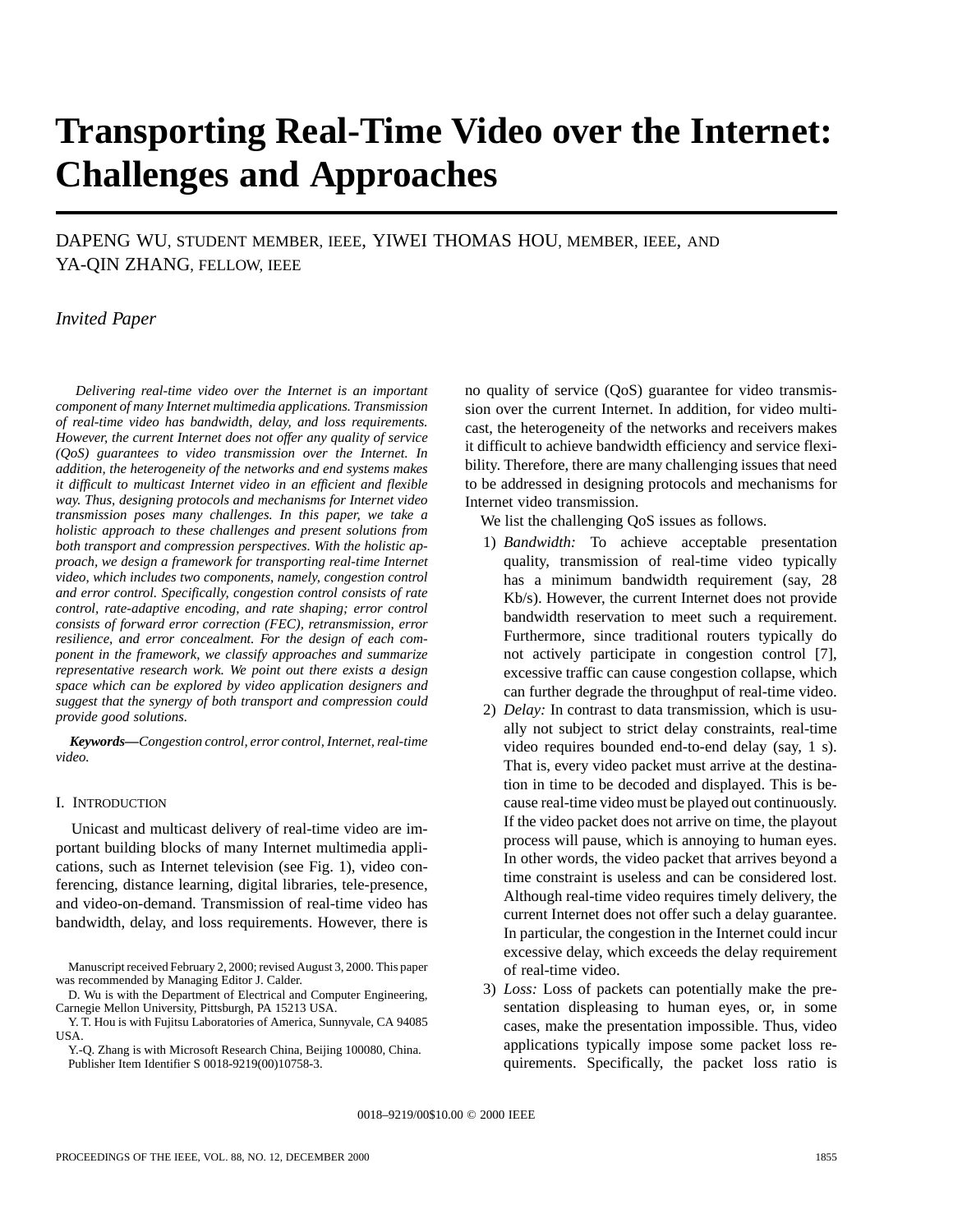# **Transporting Real-Time Video over the Internet: Challenges and Approaches**

DAPENG WU, STUDENT MEMBER, IEEE, YIWEI THOMAS HOU, MEMBER, IEEE, AND YA-QIN ZHANG, FELLOW, IEEE

# *Invited Paper*

*Delivering real-time video over the Internet is an important component of many Internet multimedia applications. Transmission of real-time video has bandwidth, delay, and loss requirements. However, the current Internet does not offer any quality of service (QoS) guarantees to video transmission over the Internet. In addition, the heterogeneity of the networks and end systems makes it difficult to multicast Internet video in an efficient and flexible way. Thus, designing protocols and mechanisms for Internet video transmission poses many challenges. In this paper, we take a holistic approach to these challenges and present solutions from both transport and compression perspectives. With the holistic approach, we design a framework for transporting real-time Internet video, which includes two components, namely, congestion control and error control. Specifically, congestion control consists of rate control, rate-adaptive encoding, and rate shaping; error control consists of forward error correction (FEC), retransmission, error resilience, and error concealment. For the design of each component in the framework, we classify approaches and summarize representative research work. We point out there exists a design space which can be explored by video application designers and suggest that the synergy of both transport and compression could provide good solutions.*

*Keywords—Congestion control, error control, Internet, real-time video.*

#### I. INTRODUCTION

Unicast and multicast delivery of real-time video are important building blocks of many Internet multimedia applications, such as Internet television (see Fig. 1), video conferencing, distance learning, digital libraries, tele-presence, and video-on-demand. Transmission of real-time video has bandwidth, delay, and loss requirements. However, there is

Manuscript received February 2, 2000; revised August 3, 2000. This paper was recommended by Managing Editor J. Calder.

Y.-Q. Zhang is with Microsoft Research China, Beijing 100080, China. Publisher Item Identifier S 0018-9219(00)10758-3.

no quality of service (QoS) guarantee for video transmission over the current Internet. In addition, for video multicast, the heterogeneity of the networks and receivers makes it difficult to achieve bandwidth efficiency and service flexibility. Therefore, there are many challenging issues that need to be addressed in designing protocols and mechanisms for Internet video transmission.

We list the challenging QoS issues as follows.

- 1) *Bandwidth:* To achieve acceptable presentation quality, transmission of real-time video typically has a minimum bandwidth requirement (say, 28 Kb/s). However, the current Internet does not provide bandwidth reservation to meet such a requirement. Furthermore, since traditional routers typically do not actively participate in congestion control [7], excessive traffic can cause congestion collapse, which can further degrade the throughput of real-time video.
- 2) *Delay:* In contrast to data transmission, which is usually not subject to strict delay constraints, real-time video requires bounded end-to-end delay (say, 1 s). That is, every video packet must arrive at the destination in time to be decoded and displayed. This is because real-time video must be played out continuously. If the video packet does not arrive on time, the playout process will pause, which is annoying to human eyes. In other words, the video packet that arrives beyond a time constraint is useless and can be considered lost. Although real-time video requires timely delivery, the current Internet does not offer such a delay guarantee. In particular, the congestion in the Internet could incur excessive delay, which exceeds the delay requirement of real-time video.
- 3) *Loss:* Loss of packets can potentially make the presentation displeasing to human eyes, or, in some cases, make the presentation impossible. Thus, video applications typically impose some packet loss requirements. Specifically, the packet loss ratio is

D. Wu is with the Department of Electrical and Computer Engineering, Carnegie Mellon University, Pittsburgh, PA 15213 USA.

Y. T. Hou is with Fujitsu Laboratories of America, Sunnyvale, CA 94085 USA.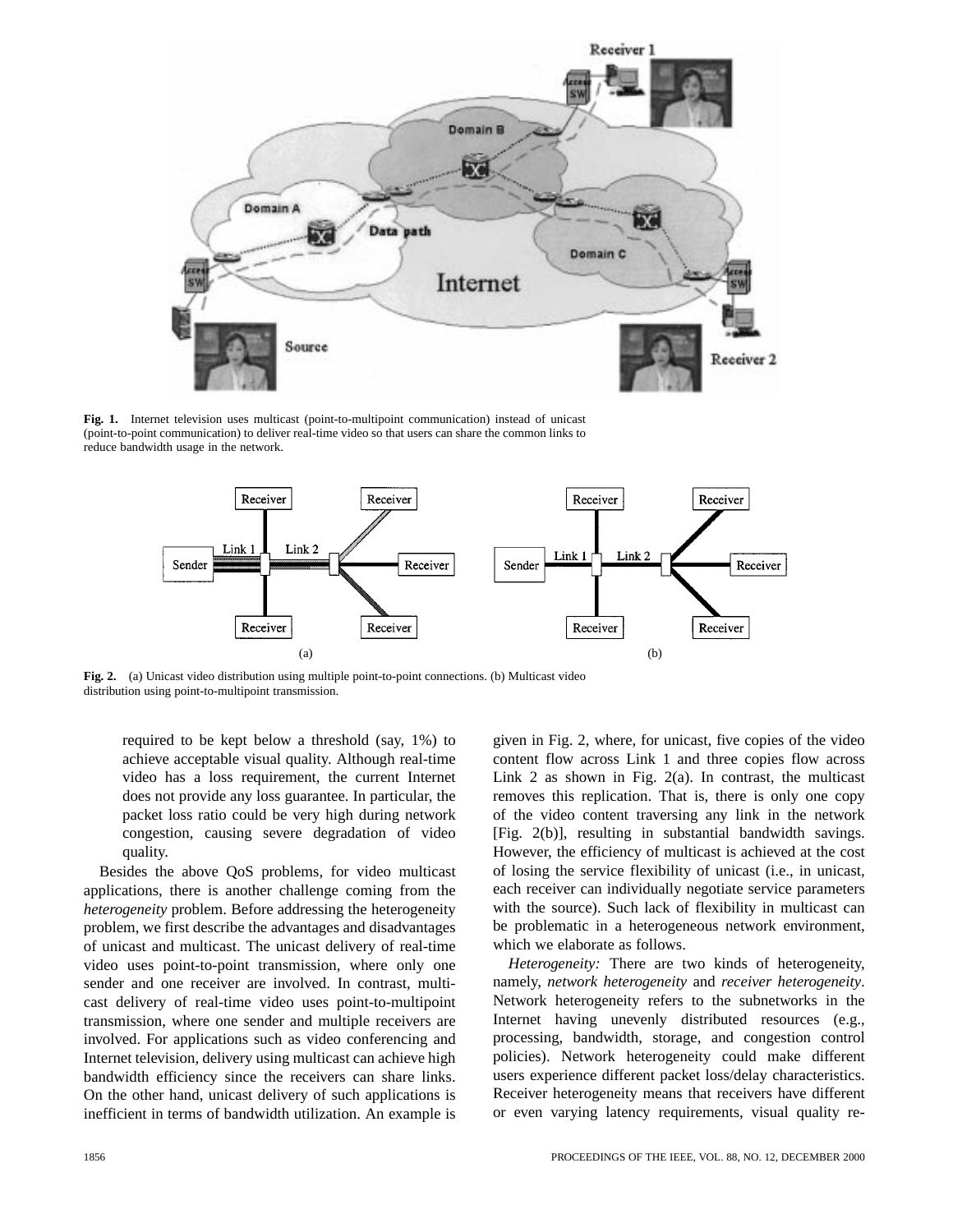

**Fig. 1.** Internet television uses multicast (point-to-multipoint communication) instead of unicast (point-to-point communication) to deliver real-time video so that users can share the common links to reduce bandwidth usage in the network.



**Fig. 2.** (a) Unicast video distribution using multiple point-to-point connections. (b) Multicast video distribution using point-to-multipoint transmission.

required to be kept below a threshold (say, 1%) to achieve acceptable visual quality. Although real-time video has a loss requirement, the current Internet does not provide any loss guarantee. In particular, the packet loss ratio could be very high during network congestion, causing severe degradation of video quality.

Besides the above QoS problems, for video multicast applications, there is another challenge coming from the *heterogeneity* problem. Before addressing the heterogeneity problem, we first describe the advantages and disadvantages of unicast and multicast. The unicast delivery of real-time video uses point-to-point transmission, where only one sender and one receiver are involved. In contrast, multicast delivery of real-time video uses point-to-multipoint transmission, where one sender and multiple receivers are involved. For applications such as video conferencing and Internet television, delivery using multicast can achieve high bandwidth efficiency since the receivers can share links. On the other hand, unicast delivery of such applications is inefficient in terms of bandwidth utilization. An example is given in Fig. 2, where, for unicast, five copies of the video content flow across Link 1 and three copies flow across Link 2 as shown in Fig. 2(a). In contrast, the multicast removes this replication. That is, there is only one copy of the video content traversing any link in the network [Fig. 2(b)], resulting in substantial bandwidth savings. However, the efficiency of multicast is achieved at the cost of losing the service flexibility of unicast (i.e., in unicast, each receiver can individually negotiate service parameters with the source). Such lack of flexibility in multicast can be problematic in a heterogeneous network environment, which we elaborate as follows.

*Heterogeneity:* There are two kinds of heterogeneity, namely, *network heterogeneity* and *receiver heterogeneity*. Network heterogeneity refers to the subnetworks in the Internet having unevenly distributed resources (e.g., processing, bandwidth, storage, and congestion control policies). Network heterogeneity could make different users experience different packet loss/delay characteristics. Receiver heterogeneity means that receivers have different or even varying latency requirements, visual quality re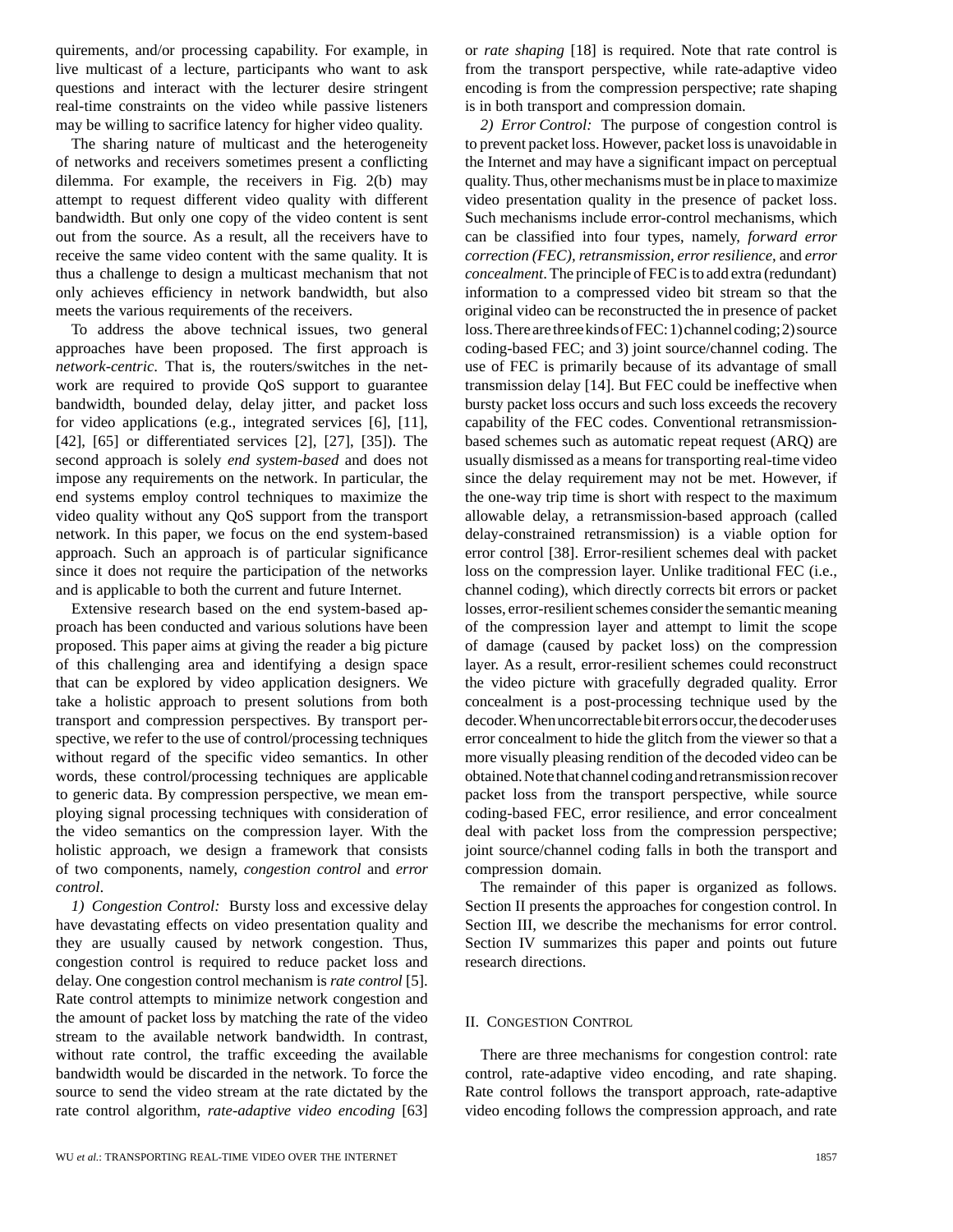quirements, and/or processing capability. For example, in live multicast of a lecture, participants who want to ask questions and interact with the lecturer desire stringent real-time constraints on the video while passive listeners may be willing to sacrifice latency for higher video quality.

The sharing nature of multicast and the heterogeneity of networks and receivers sometimes present a conflicting dilemma. For example, the receivers in Fig. 2(b) may attempt to request different video quality with different bandwidth. But only one copy of the video content is sent out from the source. As a result, all the receivers have to receive the same video content with the same quality. It is thus a challenge to design a multicast mechanism that not only achieves efficiency in network bandwidth, but also meets the various requirements of the receivers.

To address the above technical issues, two general approaches have been proposed. The first approach is *network-centric*. That is, the routers/switches in the network are required to provide QoS support to guarantee bandwidth, bounded delay, delay jitter, and packet loss for video applications (e.g., integrated services [6], [11], [42], [65] or differentiated services [2], [27], [35]). The second approach is solely *end system-based* and does not impose any requirements on the network. In particular, the end systems employ control techniques to maximize the video quality without any QoS support from the transport network. In this paper, we focus on the end system-based approach. Such an approach is of particular significance since it does not require the participation of the networks and is applicable to both the current and future Internet.

Extensive research based on the end system-based approach has been conducted and various solutions have been proposed. This paper aims at giving the reader a big picture of this challenging area and identifying a design space that can be explored by video application designers. We take a holistic approach to present solutions from both transport and compression perspectives. By transport perspective, we refer to the use of control/processing techniques without regard of the specific video semantics. In other words, these control/processing techniques are applicable to generic data. By compression perspective, we mean employing signal processing techniques with consideration of the video semantics on the compression layer. With the holistic approach, we design a framework that consists of two components, namely, *congestion control* and *error control*.

*1) Congestion Control:* Bursty loss and excessive delay have devastating effects on video presentation quality and they are usually caused by network congestion. Thus, congestion control is required to reduce packet loss and delay. One congestion control mechanism is *rate control* [5]. Rate control attempts to minimize network congestion and the amount of packet loss by matching the rate of the video stream to the available network bandwidth. In contrast, without rate control, the traffic exceeding the available bandwidth would be discarded in the network. To force the source to send the video stream at the rate dictated by the rate control algorithm, *rate-adaptive video encoding* [63] or *rate shaping* [18] is required. Note that rate control is from the transport perspective, while rate-adaptive video encoding is from the compression perspective; rate shaping is in both transport and compression domain.

*2) Error Control:* The purpose of congestion control is to prevent packet loss. However, packet loss is unavoidable in the Internet and may have a significant impact on perceptual quality. Thus, other mechanisms must be in place to maximize video presentation quality in the presence of packet loss. Such mechanisms include error-control mechanisms, which can be classified into four types, namely, *forward error correction (FEC), retransmission, error resilience*, and *error concealment*. The principle of FEC is to add extra (redundant) information to a compressed video bit stream so that the original video can be reconstructed the in presence of packet loss. There are three kinds of FEC: 1) channel coding; 2) source coding-based FEC; and 3) joint source/channel coding. The use of FEC is primarily because of its advantage of small transmission delay [14]. But FEC could be ineffective when bursty packet loss occurs and such loss exceeds the recovery capability of the FEC codes. Conventional retransmissionbased schemes such as automatic repeat request (ARQ) are usually dismissed as a means for transporting real-time video since the delay requirement may not be met. However, if the one-way trip time is short with respect to the maximum allowable delay, a retransmission-based approach (called delay-constrained retransmission) is a viable option for error control [38]. Error-resilient schemes deal with packet loss on the compression layer. Unlike traditional FEC (i.e., channel coding), which directly corrects bit errors or packet losses, error-resilient schemes consider the semantic meaning of the compression layer and attempt to limit the scope of damage (caused by packet loss) on the compression layer. As a result, error-resilient schemes could reconstruct the video picture with gracefully degraded quality. Error concealment is a post-processing technique used by the decoder. When uncorrectable bit errors occur, the decoder uses error concealment to hide the glitch from the viewer so that a more visually pleasing rendition of the decoded video can be obtained. Note that channel coding and retransmission recover packet loss from the transport perspective, while source coding-based FEC, error resilience, and error concealment deal with packet loss from the compression perspective; joint source/channel coding falls in both the transport and compression domain.

The remainder of this paper is organized as follows. Section II presents the approaches for congestion control. In Section III, we describe the mechanisms for error control. Section IV summarizes this paper and points out future research directions.

## II. CONGESTION CONTROL

There are three mechanisms for congestion control: rate control, rate-adaptive video encoding, and rate shaping. Rate control follows the transport approach, rate-adaptive video encoding follows the compression approach, and rate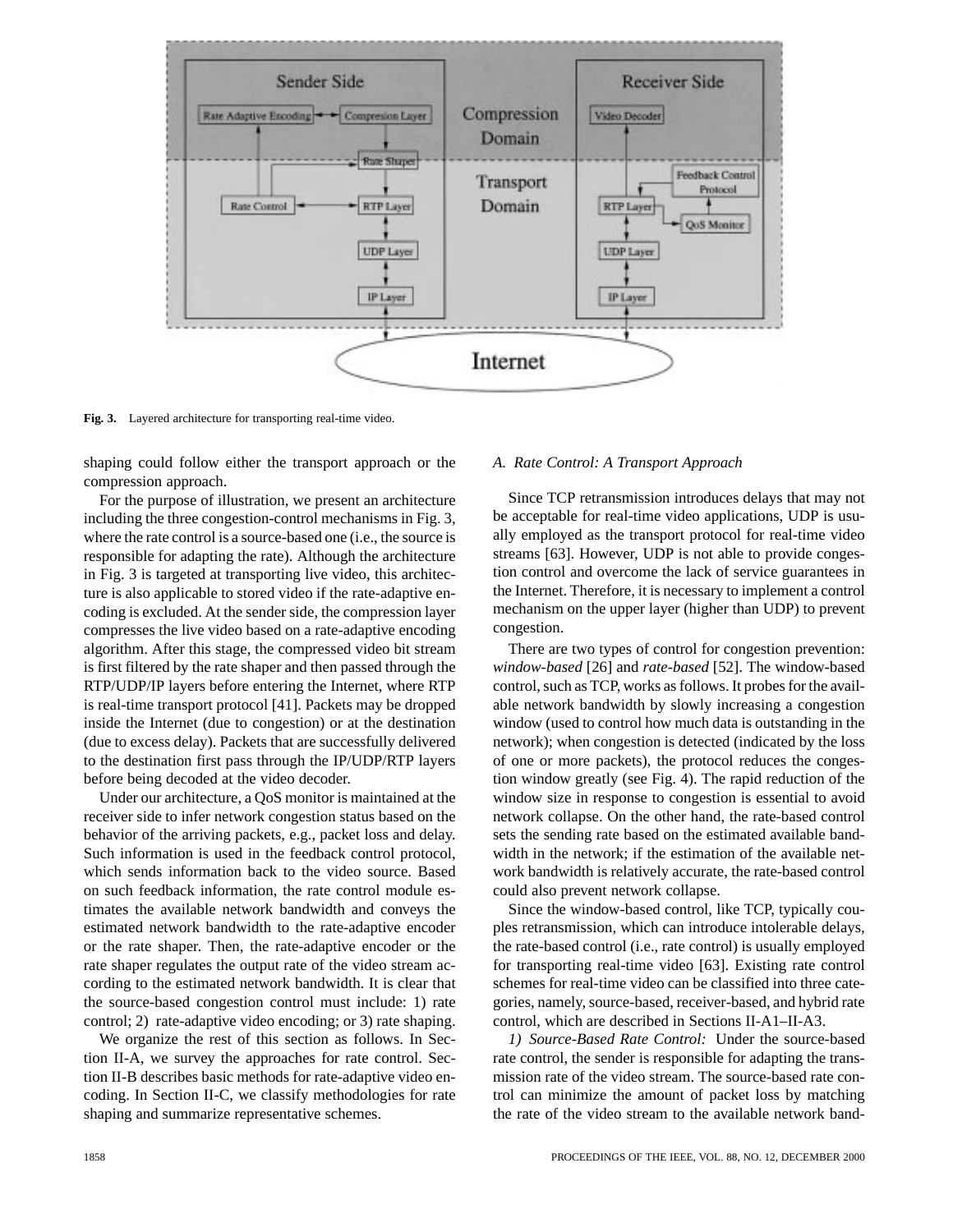

**Fig. 3.** Layered architecture for transporting real-time video.

shaping could follow either the transport approach or the compression approach.

For the purpose of illustration, we present an architecture including the three congestion-control mechanisms in Fig. 3, where the rate control is a source-based one (i.e., the source is responsible for adapting the rate). Although the architecture in Fig. 3 is targeted at transporting live video, this architecture is also applicable to stored video if the rate-adaptive encoding is excluded. At the sender side, the compression layer compresses the live video based on a rate-adaptive encoding algorithm. After this stage, the compressed video bit stream is first filtered by the rate shaper and then passed through the RTP/UDP/IP layers before entering the Internet, where RTP is real-time transport protocol [41]. Packets may be dropped inside the Internet (due to congestion) or at the destination (due to excess delay). Packets that are successfully delivered to the destination first pass through the IP/UDP/RTP layers before being decoded at the video decoder.

Under our architecture, a QoS monitor is maintained at the receiver side to infer network congestion status based on the behavior of the arriving packets, e.g., packet loss and delay. Such information is used in the feedback control protocol, which sends information back to the video source. Based on such feedback information, the rate control module estimates the available network bandwidth and conveys the estimated network bandwidth to the rate-adaptive encoder or the rate shaper. Then, the rate-adaptive encoder or the rate shaper regulates the output rate of the video stream according to the estimated network bandwidth. It is clear that the source-based congestion control must include: 1) rate control; 2) rate-adaptive video encoding; or 3) rate shaping.

We organize the rest of this section as follows. In Section II-A, we survey the approaches for rate control. Section II-B describes basic methods for rate-adaptive video encoding. In Section II-C, we classify methodologies for rate shaping and summarize representative schemes.

## *A. Rate Control: A Transport Approach*

Since TCP retransmission introduces delays that may not be acceptable for real-time video applications, UDP is usually employed as the transport protocol for real-time video streams [63]. However, UDP is not able to provide congestion control and overcome the lack of service guarantees in the Internet. Therefore, it is necessary to implement a control mechanism on the upper layer (higher than UDP) to prevent congestion.

There are two types of control for congestion prevention: *window-based* [26] and *rate-based* [52]. The window-based control, such as TCP, works as follows. It probes for the available network bandwidth by slowly increasing a congestion window (used to control how much data is outstanding in the network); when congestion is detected (indicated by the loss of one or more packets), the protocol reduces the congestion window greatly (see Fig. 4). The rapid reduction of the window size in response to congestion is essential to avoid network collapse. On the other hand, the rate-based control sets the sending rate based on the estimated available bandwidth in the network; if the estimation of the available network bandwidth is relatively accurate, the rate-based control could also prevent network collapse.

Since the window-based control, like TCP, typically couples retransmission, which can introduce intolerable delays, the rate-based control (i.e., rate control) is usually employed for transporting real-time video [63]. Existing rate control schemes for real-time video can be classified into three categories, namely, source-based, receiver-based, and hybrid rate control, which are described in Sections II-A1–II-A3.

*1) Source-Based Rate Control:* Under the source-based rate control, the sender is responsible for adapting the transmission rate of the video stream. The source-based rate control can minimize the amount of packet loss by matching the rate of the video stream to the available network band-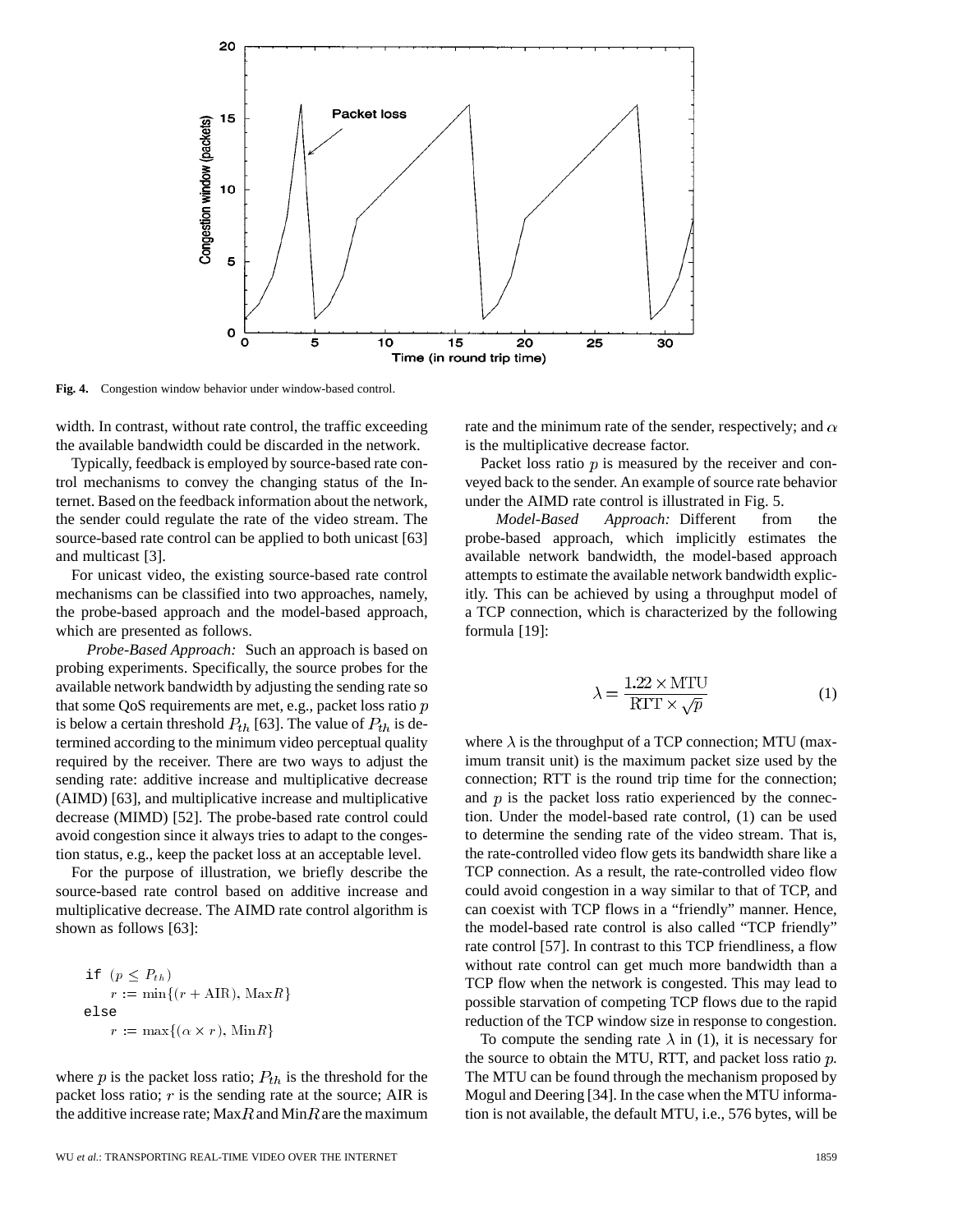

**Fig. 4.** Congestion window behavior under window-based control.

width. In contrast, without rate control, the traffic exceeding the available bandwidth could be discarded in the network.

Typically, feedback is employed by source-based rate control mechanisms to convey the changing status of the Internet. Based on the feedback information about the network, the sender could regulate the rate of the video stream. The source-based rate control can be applied to both unicast [63] and multicast [3].

For unicast video, the existing source-based rate control mechanisms can be classified into two approaches, namely, the probe-based approach and the model-based approach, which are presented as follows.

*Probe-Based Approach:* Such an approach is based on probing experiments. Specifically, the source probes for the available network bandwidth by adjusting the sending rate so that some  $Q$ oS requirements are met, e.g., packet loss ratio  $p$ is below a certain threshold  $P_{th}$  [63]. The value of  $P_{th}$  is determined according to the minimum video perceptual quality required by the receiver. There are two ways to adjust the sending rate: additive increase and multiplicative decrease (AIMD) [63], and multiplicative increase and multiplicative decrease (MIMD) [52]. The probe-based rate control could avoid congestion since it always tries to adapt to the congestion status, e.g., keep the packet loss at an acceptable level.

For the purpose of illustration, we briefly describe the source-based rate control based on additive increase and multiplicative decrease. The AIMD rate control algorithm is shown as follows [63]:

$$
\begin{aligned} \text{if } (p \leq P_{th}) \\ r &:= \min\{(r + \text{AIR}), \text{MaxR}\} \\ \text{else} \\ r &:= \max\{(\alpha \times r), \text{MinR}\} \end{aligned}
$$

where  $p$  is the packet loss ratio;  $P_{th}$  is the threshold for the packet loss ratio;  $r$  is the sending rate at the source; AIR is the additive increase rate; Max R and Min R are the maximum

rate and the minimum rate of the sender, respectively; and  $\alpha$ is the multiplicative decrease factor.

Packet loss ratio  $p$  is measured by the receiver and conveyed back to the sender. An example of source rate behavior under the AIMD rate control is illustrated in Fig. 5.

*Model-Based Approach:* Different from the probe-based approach, which implicitly estimates the available network bandwidth, the model-based approach attempts to estimate the available network bandwidth explicitly. This can be achieved by using a throughput model of a TCP connection, which is characterized by the following formula [19]:

$$
\lambda = \frac{1.22 \times \text{MTU}}{\text{RTT} \times \sqrt{p}} \tag{1}
$$

where  $\lambda$  is the throughput of a TCP connection; MTU (maximum transit unit) is the maximum packet size used by the connection; RTT is the round trip time for the connection; and  $p$  is the packet loss ratio experienced by the connection. Under the model-based rate control, (1) can be used to determine the sending rate of the video stream. That is, the rate-controlled video flow gets its bandwidth share like a TCP connection. As a result, the rate-controlled video flow could avoid congestion in a way similar to that of TCP, and can coexist with TCP flows in a "friendly" manner. Hence, the model-based rate control is also called "TCP friendly" rate control [57]. In contrast to this TCP friendliness, a flow without rate control can get much more bandwidth than a TCP flow when the network is congested. This may lead to possible starvation of competing TCP flows due to the rapid reduction of the TCP window size in response to congestion.

To compute the sending rate  $\lambda$  in (1), it is necessary for the source to obtain the MTU, RTT, and packet loss ratio  $p$ . The MTU can be found through the mechanism proposed by Mogul and Deering [34]. In the case when the MTU information is not available, the default MTU, i.e., 576 bytes, will be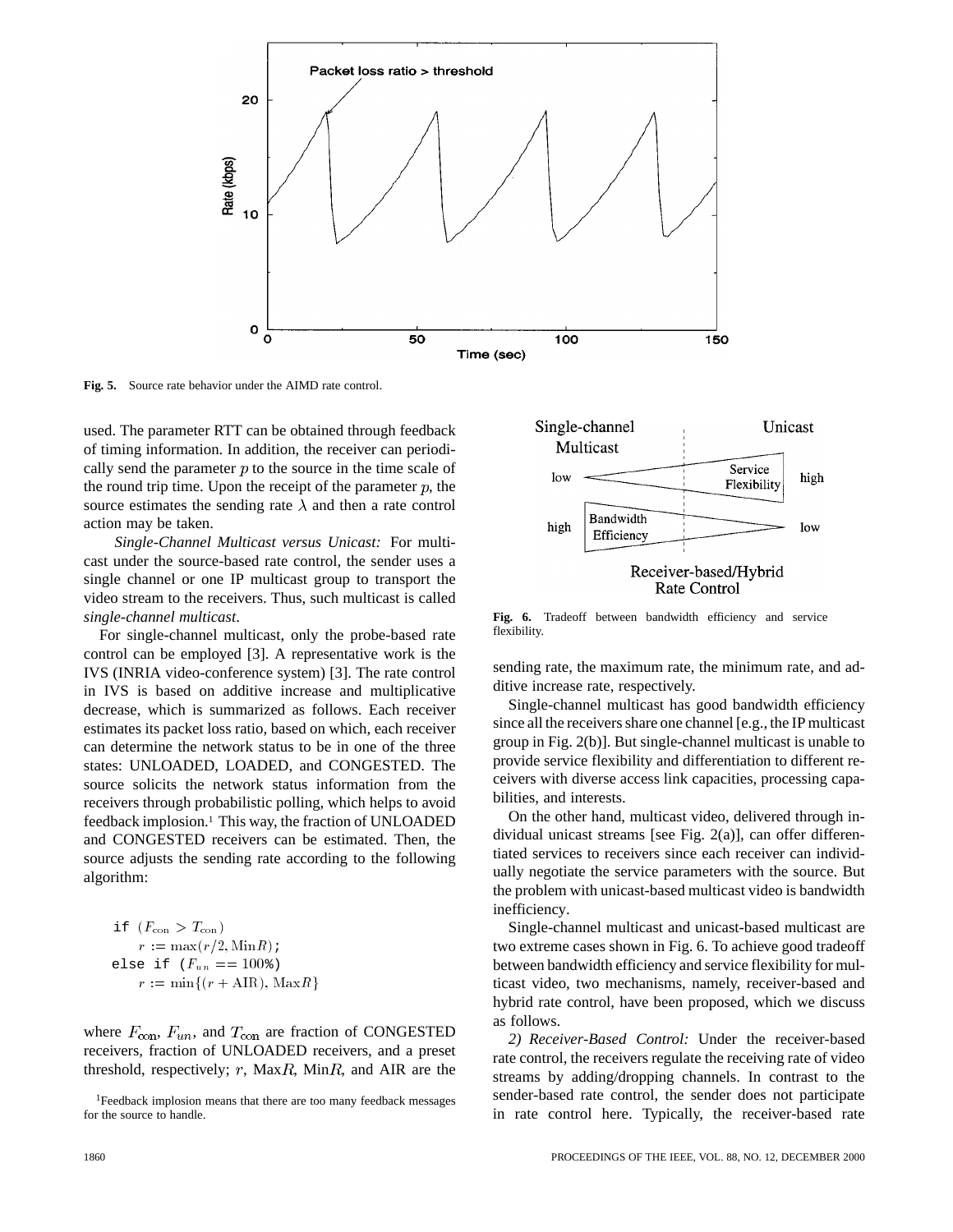

**Fig. 5.** Source rate behavior under the AIMD rate control.

used. The parameter RTT can be obtained through feedback of timing information. In addition, the receiver can periodically send the parameter  $p$  to the source in the time scale of the round trip time. Upon the receipt of the parameter  $p$ , the source estimates the sending rate  $\lambda$  and then a rate control action may be taken.

*Single-Channel Multicast versus Unicast:* For multicast under the source-based rate control, the sender uses a single channel or one IP multicast group to transport the video stream to the receivers. Thus, such multicast is called *single-channel multicast*.

For single-channel multicast, only the probe-based rate control can be employed [3]. A representative work is the IVS (INRIA video-conference system) [3]. The rate control in IVS is based on additive increase and multiplicative decrease, which is summarized as follows. Each receiver estimates its packet loss ratio, based on which, each receiver can determine the network status to be in one of the three states: UNLOADED, LOADED, and CONGESTED. The source solicits the network status information from the receivers through probabilistic polling, which helps to avoid feedback implosion.<sup>1</sup> This way, the fraction of UNLOADED and CONGESTED receivers can be estimated. Then, the source adjusts the sending rate according to the following algorithm:

if 
$$
(F_{\text{con}} > T_{\text{con}})
$$
  
\n $r := \max(r/2, \text{Min}R)$ ;  
\nelse if  $(F_{un} == 100\text{*})$   
\n $r := \min\{(r + \text{AIR}), \text{Max}R\}$ 

where  $F_{\text{con}}$ ,  $F_{un}$ , and  $T_{\text{con}}$  are fraction of CONGESTED receivers, fraction of UNLOADED receivers, and a preset threshold, respectively;  $r$ , Max $R$ , Min $R$ , and AIR are the

1Feedback implosion means that there are too many feedback messages for the source to handle.



**Fig. 6.** Tradeoff between bandwidth efficiency and service flexibility.

sending rate, the maximum rate, the minimum rate, and additive increase rate, respectively.

Single-channel multicast has good bandwidth efficiency since all the receivers share one channel [e.g., the IP multicast group in Fig. 2(b)]. But single-channel multicast is unable to provide service flexibility and differentiation to different receivers with diverse access link capacities, processing capabilities, and interests.

On the other hand, multicast video, delivered through individual unicast streams [see Fig. 2(a)], can offer differentiated services to receivers since each receiver can individually negotiate the service parameters with the source. But the problem with unicast-based multicast video is bandwidth inefficiency.

Single-channel multicast and unicast-based multicast are two extreme cases shown in Fig. 6. To achieve good tradeoff between bandwidth efficiency and service flexibility for multicast video, two mechanisms, namely, receiver-based and hybrid rate control, have been proposed, which we discuss as follows.

*2) Receiver-Based Control:* Under the receiver-based rate control, the receivers regulate the receiving rate of video streams by adding/dropping channels. In contrast to the sender-based rate control, the sender does not participate in rate control here. Typically, the receiver-based rate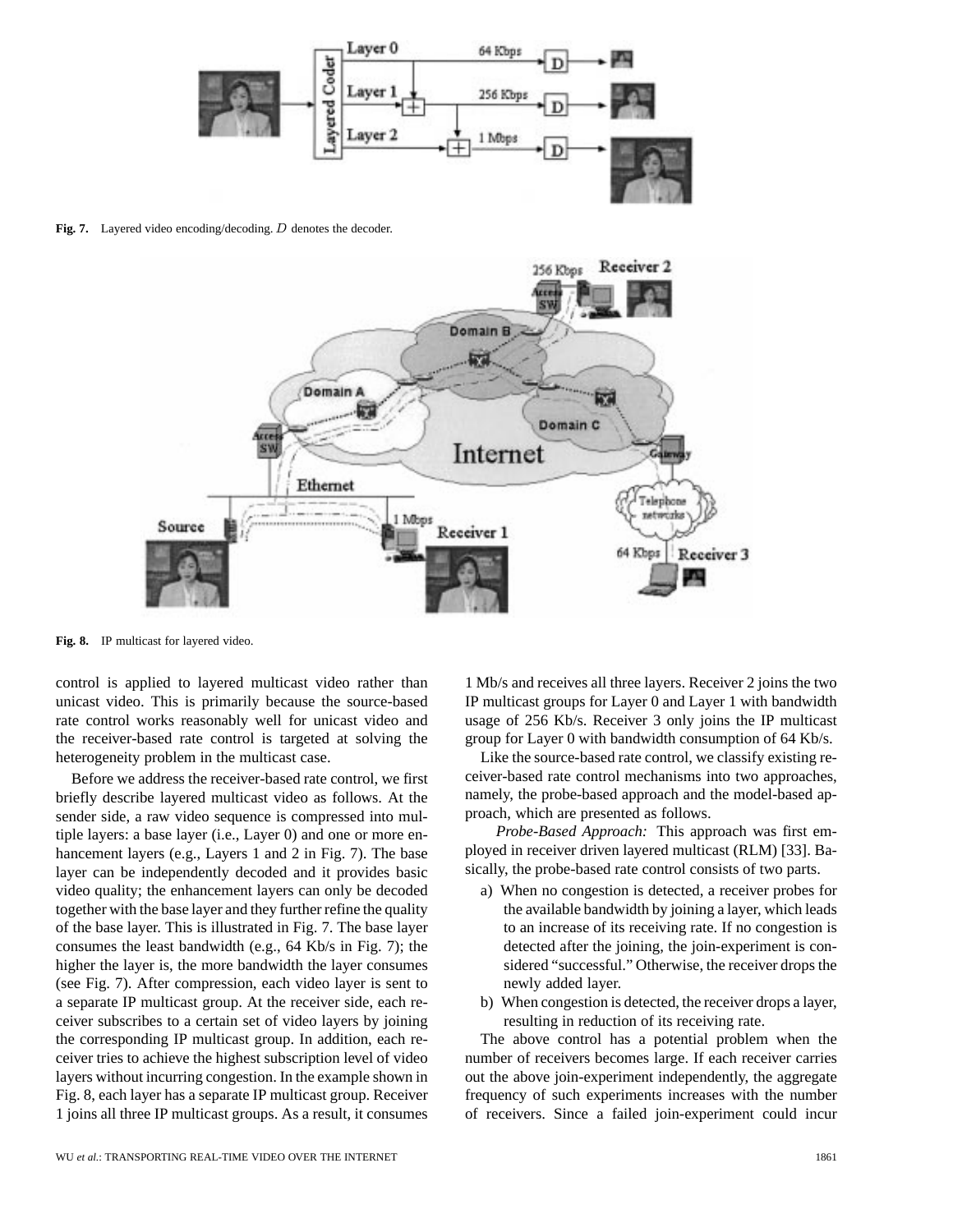

**Fig. 7.** Layered video encoding/decoding. D denotes the decoder.



**Fig. 8.** IP multicast for layered video.

control is applied to layered multicast video rather than unicast video. This is primarily because the source-based rate control works reasonably well for unicast video and the receiver-based rate control is targeted at solving the heterogeneity problem in the multicast case.

Before we address the receiver-based rate control, we first briefly describe layered multicast video as follows. At the sender side, a raw video sequence is compressed into multiple layers: a base layer (i.e., Layer 0) and one or more enhancement layers (e.g., Layers 1 and 2 in Fig. 7). The base layer can be independently decoded and it provides basic video quality; the enhancement layers can only be decoded together with the base layer and they further refine the quality of the base layer. This is illustrated in Fig. 7. The base layer consumes the least bandwidth (e.g., 64 Kb/s in Fig. 7); the higher the layer is, the more bandwidth the layer consumes (see Fig. 7). After compression, each video layer is sent to a separate IP multicast group. At the receiver side, each receiver subscribes to a certain set of video layers by joining the corresponding IP multicast group. In addition, each receiver tries to achieve the highest subscription level of video layers without incurring congestion. In the example shown in Fig. 8, each layer has a separate IP multicast group. Receiver 1 joins all three IP multicast groups. As a result, it consumes

1 Mb/s and receives all three layers. Receiver 2 joins the two IP multicast groups for Layer 0 and Layer 1 with bandwidth usage of 256 Kb/s. Receiver 3 only joins the IP multicast group for Layer 0 with bandwidth consumption of 64 Kb/s.

Like the source-based rate control, we classify existing receiver-based rate control mechanisms into two approaches, namely, the probe-based approach and the model-based approach, which are presented as follows.

*Probe-Based Approach:* This approach was first employed in receiver driven layered multicast (RLM) [33]. Basically, the probe-based rate control consists of two parts.

- a) When no congestion is detected, a receiver probes for the available bandwidth by joining a layer, which leads to an increase of its receiving rate. If no congestion is detected after the joining, the join-experiment is considered "successful." Otherwise, the receiver drops the newly added layer.
- b) When congestion is detected, the receiver drops a layer, resulting in reduction of its receiving rate.

The above control has a potential problem when the number of receivers becomes large. If each receiver carries out the above join-experiment independently, the aggregate frequency of such experiments increases with the number of receivers. Since a failed join-experiment could incur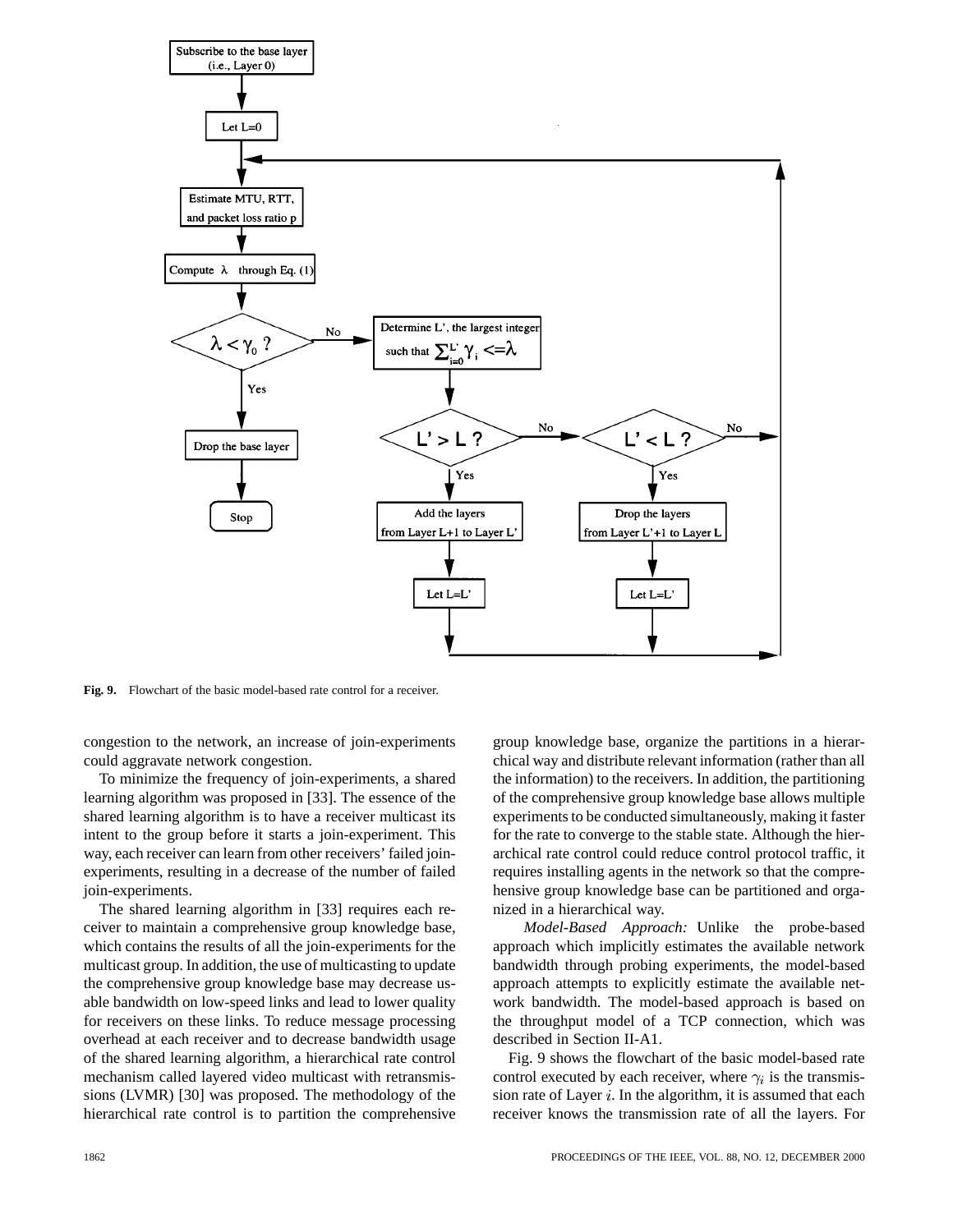

**Fig. 9.** Flowchart of the basic model-based rate control for a receiver.

congestion to the network, an increase of join-experiments could aggravate network congestion.

To minimize the frequency of join-experiments, a shared learning algorithm was proposed in [33]. The essence of the shared learning algorithm is to have a receiver multicast its intent to the group before it starts a join-experiment. This way, each receiver can learn from other receivers' failed joinexperiments, resulting in a decrease of the number of failed join-experiments.

The shared learning algorithm in [33] requires each receiver to maintain a comprehensive group knowledge base, which contains the results of all the join-experiments for the multicast group. In addition, the use of multicasting to update the comprehensive group knowledge base may decrease usable bandwidth on low-speed links and lead to lower quality for receivers on these links. To reduce message processing overhead at each receiver and to decrease bandwidth usage of the shared learning algorithm, a hierarchical rate control mechanism called layered video multicast with retransmissions (LVMR) [30] was proposed. The methodology of the hierarchical rate control is to partition the comprehensive

group knowledge base, organize the partitions in a hierarchical way and distribute relevant information (rather than all the information) to the receivers. In addition, the partitioning of the comprehensive group knowledge base allows multiple experiments to be conducted simultaneously, making it faster for the rate to converge to the stable state. Although the hierarchical rate control could reduce control protocol traffic, it requires installing agents in the network so that the comprehensive group knowledge base can be partitioned and organized in a hierarchical way.

*Model-Based Approach:* Unlike the probe-based approach which implicitly estimates the available network bandwidth through probing experiments, the model-based approach attempts to explicitly estimate the available network bandwidth. The model-based approach is based on the throughput model of a TCP connection, which was described in Section II-A1.

Fig. 9 shows the flowchart of the basic model-based rate control executed by each receiver, where  $\gamma_i$  is the transmission rate of Layer  $i$ . In the algorithm, it is assumed that each receiver knows the transmission rate of all the layers. For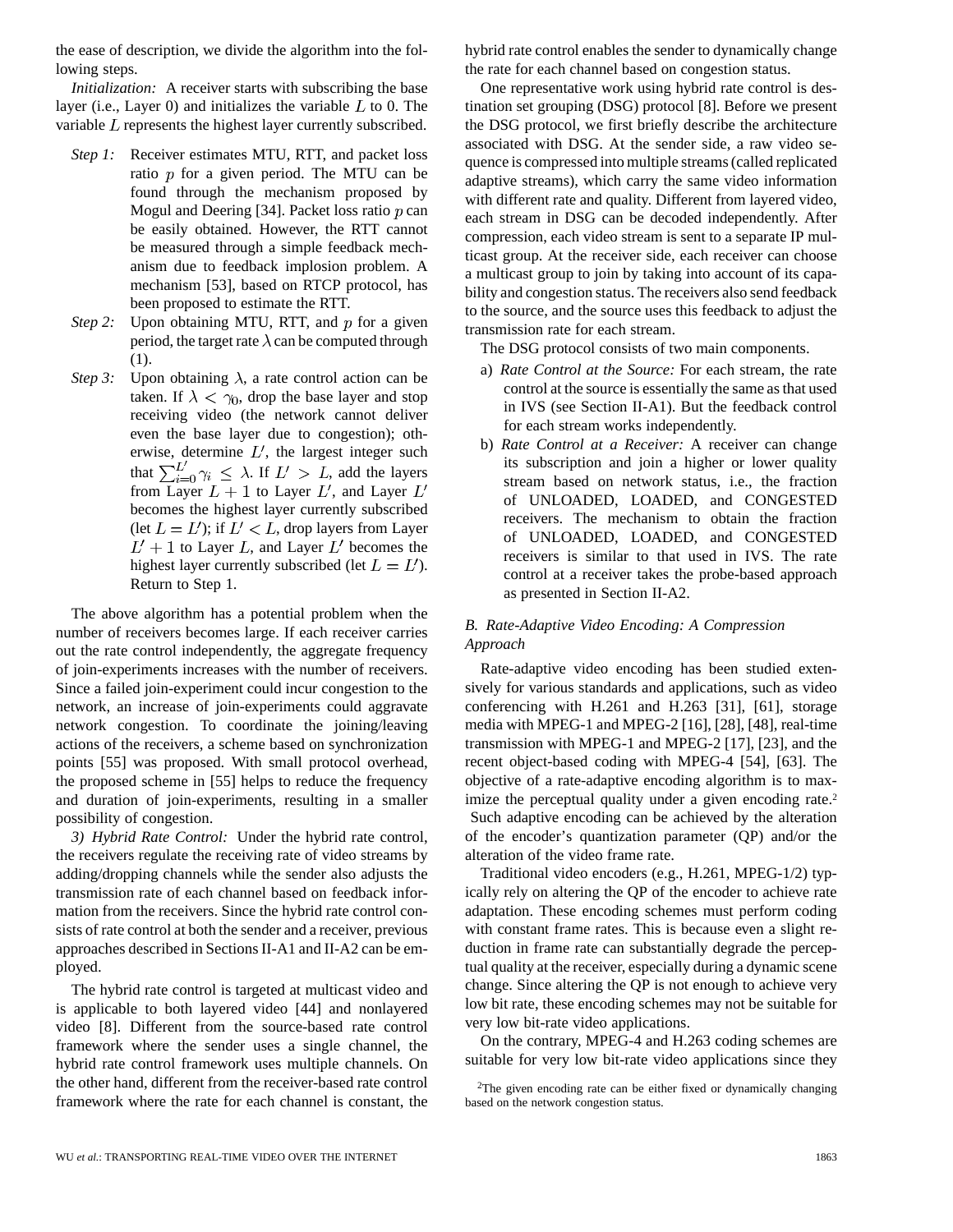the ease of description, we divide the algorithm into the following steps.

*Initialization:* A receiver starts with subscribing the base layer (i.e., Layer 0) and initializes the variable  $L$  to 0. The variable  $L$  represents the highest layer currently subscribed.

- *Step 1:* Receiver estimates MTU, RTT, and packet loss ratio  $p$  for a given period. The MTU can be found through the mechanism proposed by Mogul and Deering [34]. Packet loss ratio  $p$  can be easily obtained. However, the RTT cannot be measured through a simple feedback mechanism due to feedback implosion problem. A mechanism [53], based on RTCP protocol, has been proposed to estimate the RTT.
- *Step 2:* Upon obtaining MTU, RTT, and p for a given period, the target rate  $\lambda$  can be computed through (1).
- *Step 3:* Upon obtaining  $\lambda$ , a rate control action can be taken. If  $\lambda < \gamma_0$ , drop the base layer and stop receiving video (the network cannot deliver even the base layer due to congestion); otherwise, determine  $L'$ , the largest integer such that  $\sum_{i=0}^{L} \gamma_i \leq \lambda$ . If  $L' > L$ , add the layers from Layer  $L+1$  to Layer  $L'$ , and Layer becomes the highest layer currently subscribed  $(\text{let } L = L')$ ; if  $L' < L$ , drop layers from Layer  $L' + 1$  to Layer L, and Layer L' becomes the highest layer currently subscribed (let  $L = L'$ ). Return to Step 1.

The above algorithm has a potential problem when the number of receivers becomes large. If each receiver carries out the rate control independently, the aggregate frequency of join-experiments increases with the number of receivers. Since a failed join-experiment could incur congestion to the network, an increase of join-experiments could aggravate network congestion. To coordinate the joining/leaving actions of the receivers, a scheme based on synchronization points [55] was proposed. With small protocol overhead, the proposed scheme in [55] helps to reduce the frequency and duration of join-experiments, resulting in a smaller possibility of congestion.

*3) Hybrid Rate Control:* Under the hybrid rate control, the receivers regulate the receiving rate of video streams by adding/dropping channels while the sender also adjusts the transmission rate of each channel based on feedback information from the receivers. Since the hybrid rate control consists of rate control at both the sender and a receiver, previous approaches described in Sections II-A1 and II-A2 can be employed.

The hybrid rate control is targeted at multicast video and is applicable to both layered video [44] and nonlayered video [8]. Different from the source-based rate control framework where the sender uses a single channel, the hybrid rate control framework uses multiple channels. On the other hand, different from the receiver-based rate control framework where the rate for each channel is constant, the

hybrid rate control enables the sender to dynamically change the rate for each channel based on congestion status.

One representative work using hybrid rate control is destination set grouping (DSG) protocol [8]. Before we present the DSG protocol, we first briefly describe the architecture associated with DSG. At the sender side, a raw video sequence is compressed into multiple streams (called replicated adaptive streams), which carry the same video information with different rate and quality. Different from layered video, each stream in DSG can be decoded independently. After compression, each video stream is sent to a separate IP multicast group. At the receiver side, each receiver can choose a multicast group to join by taking into account of its capability and congestion status. The receivers also send feedback to the source, and the source uses this feedback to adjust the transmission rate for each stream.

The DSG protocol consists of two main components.

- a) *Rate Control at the Source:* For each stream, the rate control at the source is essentially the same as that used in IVS (see Section II-A1). But the feedback control for each stream works independently.
- b) *Rate Control at a Receiver:* A receiver can change its subscription and join a higher or lower quality stream based on network status, i.e., the fraction of UNLOADED, LOADED, and CONGESTED receivers. The mechanism to obtain the fraction of UNLOADED, LOADED, and CONGESTED receivers is similar to that used in IVS. The rate control at a receiver takes the probe-based approach as presented in Section II-A2.

# *B. Rate-Adaptive Video Encoding: A Compression Approach*

Rate-adaptive video encoding has been studied extensively for various standards and applications, such as video conferencing with H.261 and H.263 [31], [61], storage media with MPEG-1 and MPEG-2 [16], [28], [48], real-time transmission with MPEG-1 and MPEG-2 [17], [23], and the recent object-based coding with MPEG-4 [54], [63]. The objective of a rate-adaptive encoding algorithm is to maximize the perceptual quality under a given encoding rate.<sup>2</sup> Such adaptive encoding can be achieved by the alteration of the encoder's quantization parameter (QP) and/or the alteration of the video frame rate.

Traditional video encoders (e.g., H.261, MPEG-1/2) typically rely on altering the QP of the encoder to achieve rate adaptation. These encoding schemes must perform coding with constant frame rates. This is because even a slight reduction in frame rate can substantially degrade the perceptual quality at the receiver, especially during a dynamic scene change. Since altering the QP is not enough to achieve very low bit rate, these encoding schemes may not be suitable for very low bit-rate video applications.

On the contrary, MPEG-4 and H.263 coding schemes are suitable for very low bit-rate video applications since they

<sup>2</sup>The given encoding rate can be either fixed or dynamically changing based on the network congestion status.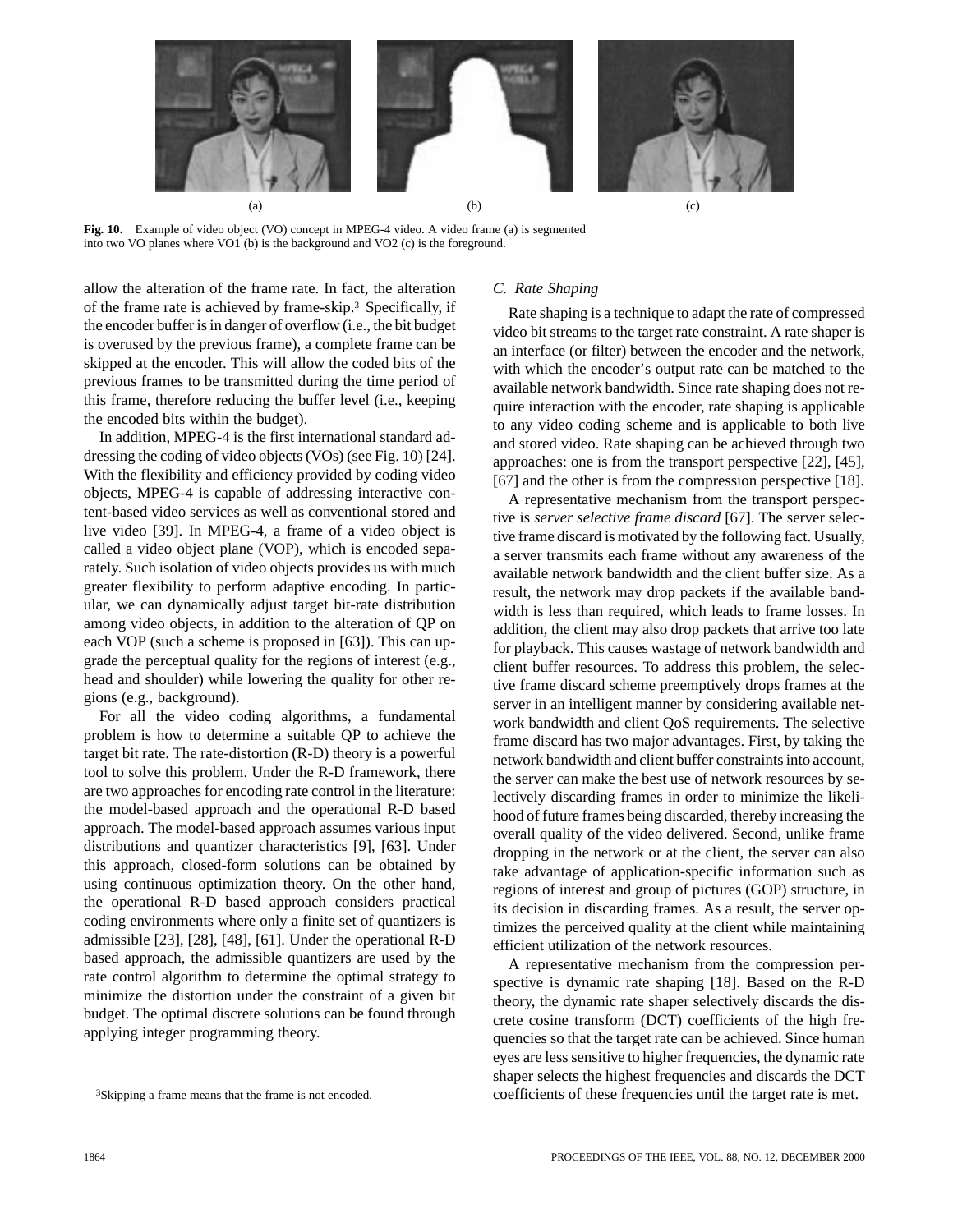

**Fig. 10.** Example of video object (VO) concept in MPEG-4 video. A video frame (a) is segmented into two VO planes where VO1 (b) is the background and VO2 (c) is the foreground.

allow the alteration of the frame rate. In fact, the alteration of the frame rate is achieved by frame-skip.3 Specifically, if the encoder buffer is in danger of overflow (i.e., the bit budget is overused by the previous frame), a complete frame can be skipped at the encoder. This will allow the coded bits of the previous frames to be transmitted during the time period of this frame, therefore reducing the buffer level (i.e., keeping the encoded bits within the budget).

In addition, MPEG-4 is the first international standard addressing the coding of video objects (VOs) (see Fig. 10) [24]. With the flexibility and efficiency provided by coding video objects, MPEG-4 is capable of addressing interactive content-based video services as well as conventional stored and live video [39]. In MPEG-4, a frame of a video object is called a video object plane (VOP), which is encoded separately. Such isolation of video objects provides us with much greater flexibility to perform adaptive encoding. In particular, we can dynamically adjust target bit-rate distribution among video objects, in addition to the alteration of QP on each VOP (such a scheme is proposed in [63]). This can upgrade the perceptual quality for the regions of interest (e.g., head and shoulder) while lowering the quality for other regions (e.g., background).

For all the video coding algorithms, a fundamental problem is how to determine a suitable QP to achieve the target bit rate. The rate-distortion (R-D) theory is a powerful tool to solve this problem. Under the R-D framework, there are two approaches for encoding rate control in the literature: the model-based approach and the operational R-D based approach. The model-based approach assumes various input distributions and quantizer characteristics [9], [63]. Under this approach, closed-form solutions can be obtained by using continuous optimization theory. On the other hand, the operational R-D based approach considers practical coding environments where only a finite set of quantizers is admissible [23], [28], [48], [61]. Under the operational R-D based approach, the admissible quantizers are used by the rate control algorithm to determine the optimal strategy to minimize the distortion under the constraint of a given bit budget. The optimal discrete solutions can be found through applying integer programming theory.

# *C. Rate Shaping*

Rate shaping is a technique to adapt the rate of compressed video bit streams to the target rate constraint. A rate shaper is an interface (or filter) between the encoder and the network, with which the encoder's output rate can be matched to the available network bandwidth. Since rate shaping does not require interaction with the encoder, rate shaping is applicable to any video coding scheme and is applicable to both live and stored video. Rate shaping can be achieved through two approaches: one is from the transport perspective [22], [45], [67] and the other is from the compression perspective [18].

A representative mechanism from the transport perspective is *server selective frame discard* [67]. The server selective frame discard is motivated by the following fact. Usually, a server transmits each frame without any awareness of the available network bandwidth and the client buffer size. As a result, the network may drop packets if the available bandwidth is less than required, which leads to frame losses. In addition, the client may also drop packets that arrive too late for playback. This causes wastage of network bandwidth and client buffer resources. To address this problem, the selective frame discard scheme preemptively drops frames at the server in an intelligent manner by considering available network bandwidth and client QoS requirements. The selective frame discard has two major advantages. First, by taking the network bandwidth and client buffer constraints into account, the server can make the best use of network resources by selectively discarding frames in order to minimize the likelihood of future frames being discarded, thereby increasing the overall quality of the video delivered. Second, unlike frame dropping in the network or at the client, the server can also take advantage of application-specific information such as regions of interest and group of pictures (GOP) structure, in its decision in discarding frames. As a result, the server optimizes the perceived quality at the client while maintaining efficient utilization of the network resources.

A representative mechanism from the compression perspective is dynamic rate shaping [18]. Based on the R-D theory, the dynamic rate shaper selectively discards the discrete cosine transform (DCT) coefficients of the high frequencies so that the target rate can be achieved. Since human eyes are less sensitive to higher frequencies, the dynamic rate shaper selects the highest frequencies and discards the DCT coefficients of these frequencies until the target rate is met.

<sup>3</sup>Skipping a frame means that the frame is not encoded.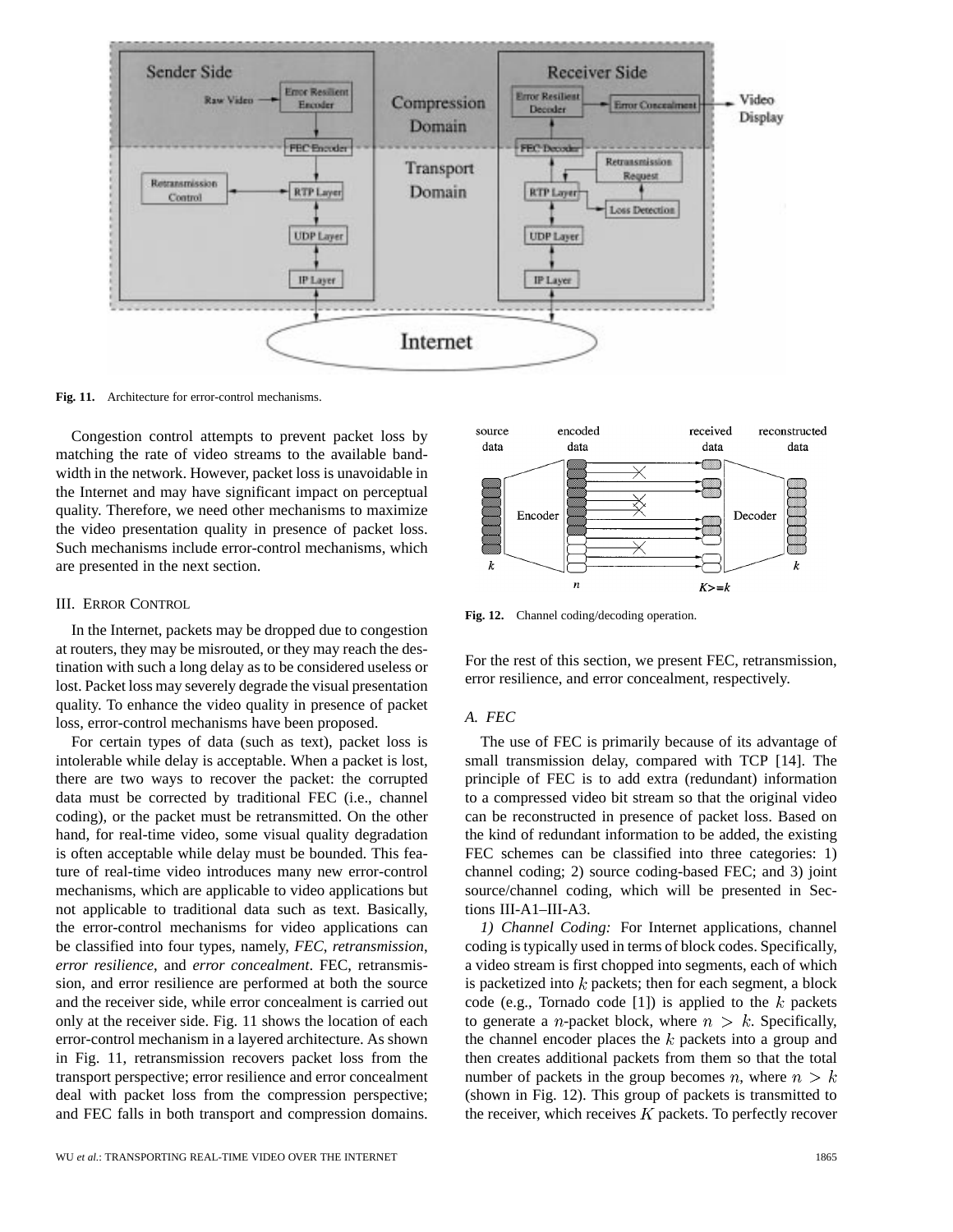

**Fig. 11.** Architecture for error-control mechanisms.

Congestion control attempts to prevent packet loss by matching the rate of video streams to the available bandwidth in the network. However, packet loss is unavoidable in the Internet and may have significant impact on perceptual quality. Therefore, we need other mechanisms to maximize the video presentation quality in presence of packet loss. Such mechanisms include error-control mechanisms, which are presented in the next section.

### III. ERROR CONTROL

In the Internet, packets may be dropped due to congestion at routers, they may be misrouted, or they may reach the destination with such a long delay as to be considered useless or lost. Packet loss may severely degrade the visual presentation quality. To enhance the video quality in presence of packet loss, error-control mechanisms have been proposed.

For certain types of data (such as text), packet loss is intolerable while delay is acceptable. When a packet is lost, there are two ways to recover the packet: the corrupted data must be corrected by traditional FEC (i.e., channel coding), or the packet must be retransmitted. On the other hand, for real-time video, some visual quality degradation is often acceptable while delay must be bounded. This feature of real-time video introduces many new error-control mechanisms, which are applicable to video applications but not applicable to traditional data such as text. Basically, the error-control mechanisms for video applications can be classified into four types, namely, *FEC*, *retransmission*, *error resilience*, and *error concealment*. FEC, retransmission, and error resilience are performed at both the source and the receiver side, while error concealment is carried out only at the receiver side. Fig. 11 shows the location of each error-control mechanism in a layered architecture. As shown in Fig. 11, retransmission recovers packet loss from the transport perspective; error resilience and error concealment deal with packet loss from the compression perspective; and FEC falls in both transport and compression domains.



**Fig. 12.** Channel coding/decoding operation.

For the rest of this section, we present FEC, retransmission, error resilience, and error concealment, respectively.

## *A. FEC*

The use of FEC is primarily because of its advantage of small transmission delay, compared with TCP [14]. The principle of FEC is to add extra (redundant) information to a compressed video bit stream so that the original video can be reconstructed in presence of packet loss. Based on the kind of redundant information to be added, the existing FEC schemes can be classified into three categories: 1) channel coding; 2) source coding-based FEC; and 3) joint source/channel coding, which will be presented in Sections III-A1–III-A3.

*1) Channel Coding:* For Internet applications, channel coding is typically used in terms of block codes. Specifically, a video stream is first chopped into segments, each of which is packetized into  $k$  packets; then for each segment, a block code (e.g., Tornado code [1]) is applied to the  $k$  packets to generate a *n*-packet block, where  $n > k$ . Specifically, the channel encoder places the  $k$  packets into a group and then creates additional packets from them so that the total number of packets in the group becomes  $n$ , where  $n > k$ (shown in Fig. 12). This group of packets is transmitted to the receiver, which receives  $K$  packets. To perfectly recover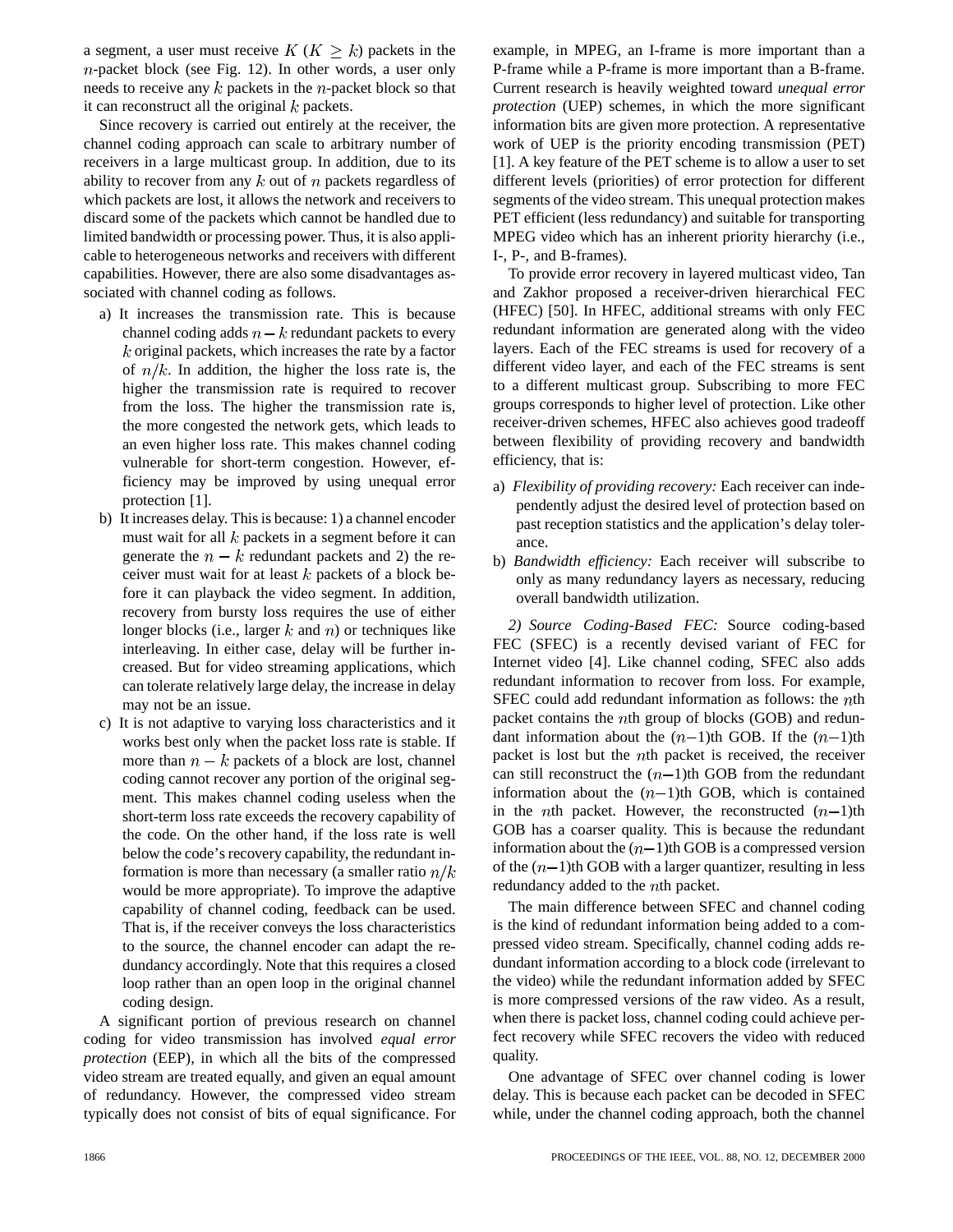a segment, a user must receive  $K ( K \geq k )$  packets in the  $n$ -packet block (see Fig. 12). In other words, a user only needs to receive any  $k$  packets in the *n*-packet block so that it can reconstruct all the original  $k$  packets.

Since recovery is carried out entirely at the receiver, the channel coding approach can scale to arbitrary number of receivers in a large multicast group. In addition, due to its ability to recover from any  $k$  out of  $n$  packets regardless of which packets are lost, it allows the network and receivers to discard some of the packets which cannot be handled due to limited bandwidth or processing power. Thus, it is also applicable to heterogeneous networks and receivers with different capabilities. However, there are also some disadvantages associated with channel coding as follows.

- a) It increases the transmission rate. This is because channel coding adds  $n - k$  redundant packets to every  $k$  original packets, which increases the rate by a factor of  $n/k$ . In addition, the higher the loss rate is, the higher the transmission rate is required to recover from the loss. The higher the transmission rate is, the more congested the network gets, which leads to an even higher loss rate. This makes channel coding vulnerable for short-term congestion. However, efficiency may be improved by using unequal error protection [1].
- b) It increases delay. This is because: 1) a channel encoder must wait for all  $k$  packets in a segment before it can generate the  $n - k$  redundant packets and 2) the receiver must wait for at least  $k$  packets of a block before it can playback the video segment. In addition, recovery from bursty loss requires the use of either longer blocks (i.e., larger  $k$  and  $n$ ) or techniques like interleaving. In either case, delay will be further increased. But for video streaming applications, which can tolerate relatively large delay, the increase in delay may not be an issue.
- c) It is not adaptive to varying loss characteristics and it works best only when the packet loss rate is stable. If more than  $n - k$  packets of a block are lost, channel coding cannot recover any portion of the original segment. This makes channel coding useless when the short-term loss rate exceeds the recovery capability of the code. On the other hand, if the loss rate is well below the code's recovery capability, the redundant information is more than necessary (a smaller ratio  $n/k$ would be more appropriate). To improve the adaptive capability of channel coding, feedback can be used. That is, if the receiver conveys the loss characteristics to the source, the channel encoder can adapt the redundancy accordingly. Note that this requires a closed loop rather than an open loop in the original channel coding design.

A significant portion of previous research on channel coding for video transmission has involved *equal error protection* (EEP), in which all the bits of the compressed video stream are treated equally, and given an equal amount of redundancy. However, the compressed video stream typically does not consist of bits of equal significance. For example, in MPEG, an I-frame is more important than a P-frame while a P-frame is more important than a B-frame. Current research is heavily weighted toward *unequal error protection* (UEP) schemes, in which the more significant information bits are given more protection. A representative work of UEP is the priority encoding transmission (PET) [1]. A key feature of the PET scheme is to allow a user to set different levels (priorities) of error protection for different segments of the video stream. This unequal protection makes PET efficient (less redundancy) and suitable for transporting MPEG video which has an inherent priority hierarchy (i.e., I-, P-, and B-frames).

To provide error recovery in layered multicast video, Tan and Zakhor proposed a receiver-driven hierarchical FEC (HFEC) [50]. In HFEC, additional streams with only FEC redundant information are generated along with the video layers. Each of the FEC streams is used for recovery of a different video layer, and each of the FEC streams is sent to a different multicast group. Subscribing to more FEC groups corresponds to higher level of protection. Like other receiver-driven schemes, HFEC also achieves good tradeoff between flexibility of providing recovery and bandwidth efficiency, that is:

- a) *Flexibility of providing recovery:* Each receiver can independently adjust the desired level of protection based on past reception statistics and the application's delay tolerance.
- b) *Bandwidth efficiency:* Each receiver will subscribe to only as many redundancy layers as necessary, reducing overall bandwidth utilization.

*2) Source Coding-Based FEC:* Source coding-based FEC (SFEC) is a recently devised variant of FEC for Internet video [4]. Like channel coding, SFEC also adds redundant information to recover from loss. For example, SFEC could add redundant information as follows: the  $nth$ packet contains the  $n$ th group of blocks (GOB) and redundant information about the  $(n-1)$ th GOB. If the  $(n-1)$ th packet is lost but the *th packet is received, the receiver* can still reconstruct the  $(n-1)$ th GOB from the redundant information about the  $(n-1)$ th GOB, which is contained in the *n*th packet. However, the reconstructed  $(n-1)$ th GOB has a coarser quality. This is because the redundant information about the  $(n-1)$ th GOB is a compressed version of the  $(n-1)$ th GOB with a larger quantizer, resulting in less redundancy added to the *n*th packet.

The main difference between SFEC and channel coding is the kind of redundant information being added to a compressed video stream. Specifically, channel coding adds redundant information according to a block code (irrelevant to the video) while the redundant information added by SFEC is more compressed versions of the raw video. As a result, when there is packet loss, channel coding could achieve perfect recovery while SFEC recovers the video with reduced quality.

One advantage of SFEC over channel coding is lower delay. This is because each packet can be decoded in SFEC while, under the channel coding approach, both the channel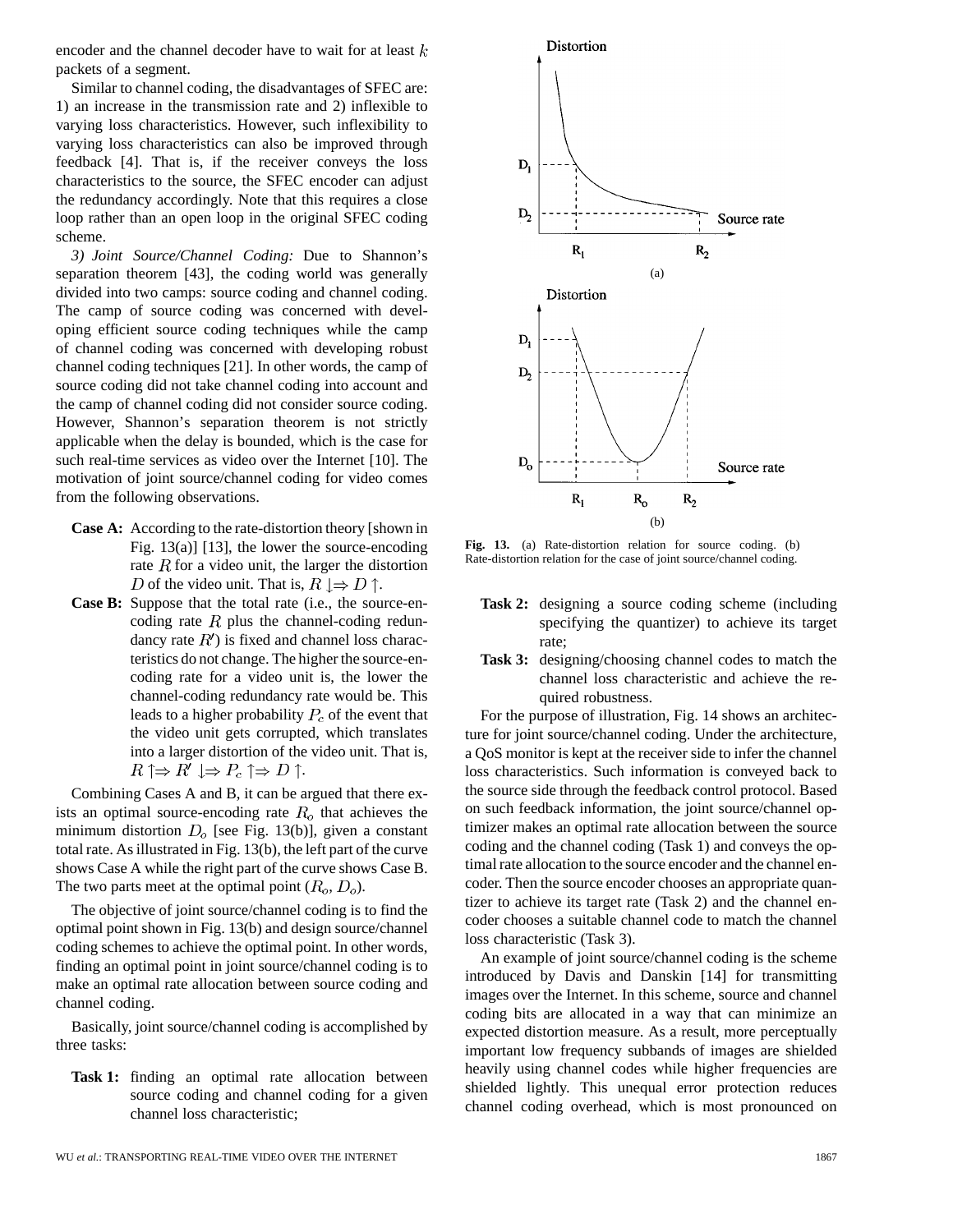encoder and the channel decoder have to wait for at least  $k$ packets of a segment.

Similar to channel coding, the disadvantages of SFEC are: 1) an increase in the transmission rate and 2) inflexible to varying loss characteristics. However, such inflexibility to varying loss characteristics can also be improved through feedback [4]. That is, if the receiver conveys the loss characteristics to the source, the SFEC encoder can adjust the redundancy accordingly. Note that this requires a close loop rather than an open loop in the original SFEC coding scheme.

*3) Joint Source/Channel Coding:* Due to Shannon's separation theorem [43], the coding world was generally divided into two camps: source coding and channel coding. The camp of source coding was concerned with developing efficient source coding techniques while the camp of channel coding was concerned with developing robust channel coding techniques [21]. In other words, the camp of source coding did not take channel coding into account and the camp of channel coding did not consider source coding. However, Shannon's separation theorem is not strictly applicable when the delay is bounded, which is the case for such real-time services as video over the Internet [10]. The motivation of joint source/channel coding for video comes from the following observations.

- **Case A:** According to the rate-distortion theory [shown in Fig. 13(a)] [13], the lower the source-encoding rate  $R$  for a video unit, the larger the distortion D of the video unit. That is,  $R \downarrow \Rightarrow D \uparrow$ .
- **Case B:** Suppose that the total rate (i.e., the source-encoding rate  $R$  plus the channel-coding redundancy rate  $R'$ ) is fixed and channel loss characteristics do not change. The higher the source-encoding rate for a video unit is, the lower the channel-coding redundancy rate would be. This leads to a higher probability  $P_c$  of the event that the video unit gets corrupted, which translates into a larger distortion of the video unit. That is,  $R \uparrow \Rightarrow R' \downarrow \Rightarrow P_c \uparrow \Rightarrow D \uparrow.$

Combining Cases A and B, it can be argued that there exists an optimal source-encoding rate  $R_o$  that achieves the minimum distortion  $D<sub>o</sub>$  [see Fig. 13(b)], given a constant total rate. As illustrated in Fig. 13(b), the left part of the curve shows Case A while the right part of the curve shows Case B. The two parts meet at the optimal point  $(R<sub>o</sub>, D<sub>o</sub>)$ .

The objective of joint source/channel coding is to find the optimal point shown in Fig. 13(b) and design source/channel coding schemes to achieve the optimal point. In other words, finding an optimal point in joint source/channel coding is to make an optimal rate allocation between source coding and channel coding.

Basically, joint source/channel coding is accomplished by three tasks:

Task 1: finding an optimal rate allocation between source coding and channel coding for a given channel loss characteristic;



**Fig. 13.** (a) Rate-distortion relation for source coding. (b) Rate-distortion relation for the case of joint source/channel coding.

- **Task 2:** designing a source coding scheme (including specifying the quantizer) to achieve its target rate;
- **Task 3:** designing/choosing channel codes to match the channel loss characteristic and achieve the required robustness.

For the purpose of illustration, Fig. 14 shows an architecture for joint source/channel coding. Under the architecture, a QoS monitor is kept at the receiver side to infer the channel loss characteristics. Such information is conveyed back to the source side through the feedback control protocol. Based on such feedback information, the joint source/channel optimizer makes an optimal rate allocation between the source coding and the channel coding (Task 1) and conveys the optimal rate allocation to the source encoder and the channel encoder. Then the source encoder chooses an appropriate quantizer to achieve its target rate (Task 2) and the channel encoder chooses a suitable channel code to match the channel loss characteristic (Task 3).

An example of joint source/channel coding is the scheme introduced by Davis and Danskin [14] for transmitting images over the Internet. In this scheme, source and channel coding bits are allocated in a way that can minimize an expected distortion measure. As a result, more perceptually important low frequency subbands of images are shielded heavily using channel codes while higher frequencies are shielded lightly. This unequal error protection reduces channel coding overhead, which is most pronounced on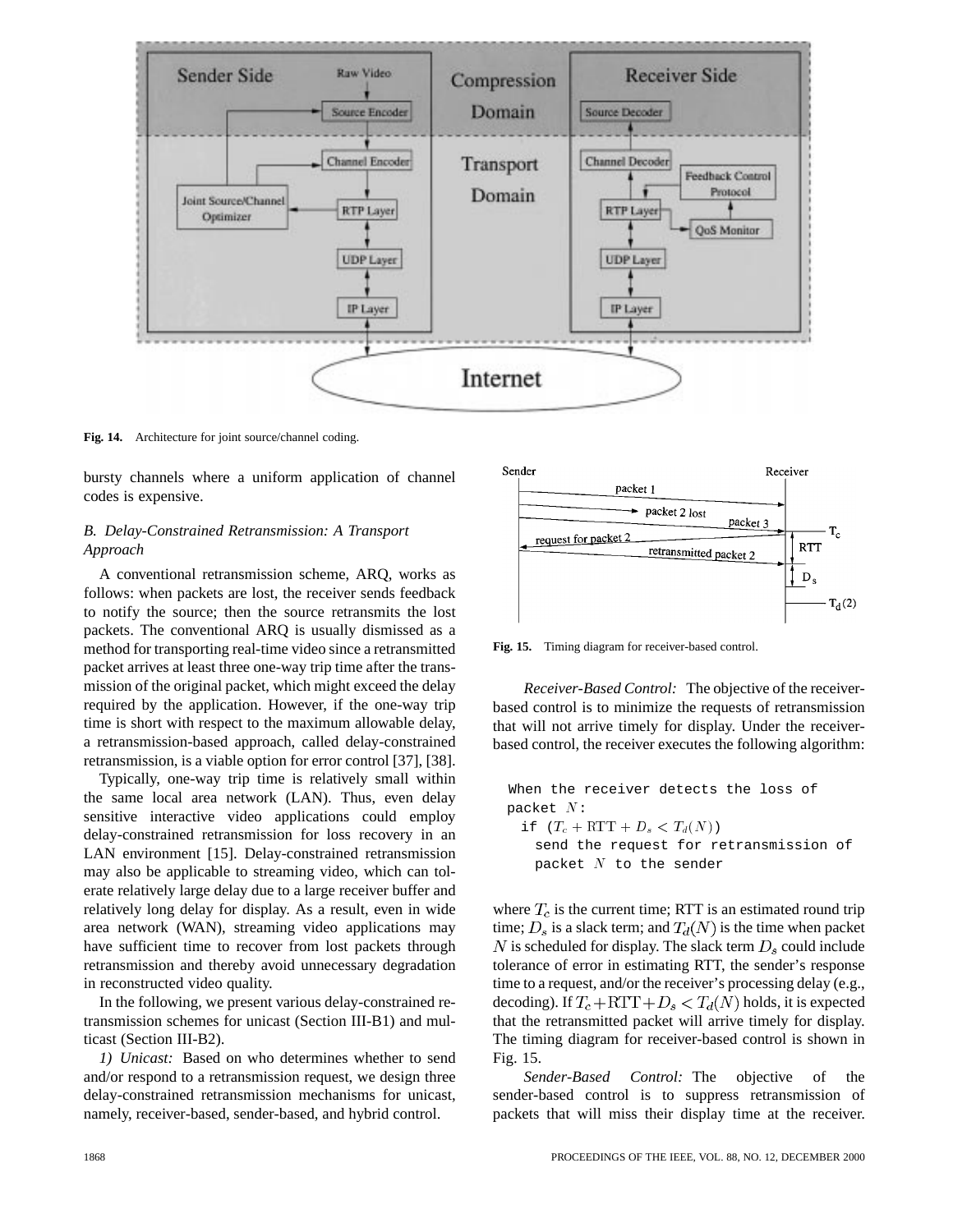

**Fig. 14.** Architecture for joint source/channel coding.

bursty channels where a uniform application of channel codes is expensive.

# *B. Delay-Constrained Retransmission: A Transport Approach*

A conventional retransmission scheme, ARQ, works as follows: when packets are lost, the receiver sends feedback to notify the source; then the source retransmits the lost packets. The conventional ARQ is usually dismissed as a method for transporting real-time video since a retransmitted packet arrives at least three one-way trip time after the transmission of the original packet, which might exceed the delay required by the application. However, if the one-way trip time is short with respect to the maximum allowable delay, a retransmission-based approach, called delay-constrained retransmission, is a viable option for error control [37], [38].

Typically, one-way trip time is relatively small within the same local area network (LAN). Thus, even delay sensitive interactive video applications could employ delay-constrained retransmission for loss recovery in an LAN environment [15]. Delay-constrained retransmission may also be applicable to streaming video, which can tolerate relatively large delay due to a large receiver buffer and relatively long delay for display. As a result, even in wide area network (WAN), streaming video applications may have sufficient time to recover from lost packets through retransmission and thereby avoid unnecessary degradation in reconstructed video quality.

In the following, we present various delay-constrained retransmission schemes for unicast (Section III-B1) and multicast (Section III-B2).

*1) Unicast:* Based on who determines whether to send and/or respond to a retransmission request, we design three delay-constrained retransmission mechanisms for unicast, namely, receiver-based, sender-based, and hybrid control.



**Fig. 15.** Timing diagram for receiver-based control.

*Receiver-Based Control:* The objective of the receiverbased control is to minimize the requests of retransmission that will not arrive timely for display. Under the receiverbased control, the receiver executes the following algorithm:

```
When the receiver detects the loss of
packet N:
 if (T_c + RTT + D_s < T_d(N))send the request for retransmission of
   packet N to the sender
```
where  $T_c$  is the current time; RTT is an estimated round trip time;  $D_s$  is a slack term; and  $T_d(N)$  is the time when packet N is scheduled for display. The slack term  $D_s$  could include tolerance of error in estimating RTT, the sender's response time to a request, and/or the receiver's processing delay (e.g., decoding). If  $T_c + RTT + D_s < T_d(N)$  holds, it is expected that the retransmitted packet will arrive timely for display. The timing diagram for receiver-based control is shown in Fig. 15.

*Sender-Based Control:* The objective of the sender-based control is to suppress retransmission of packets that will miss their display time at the receiver.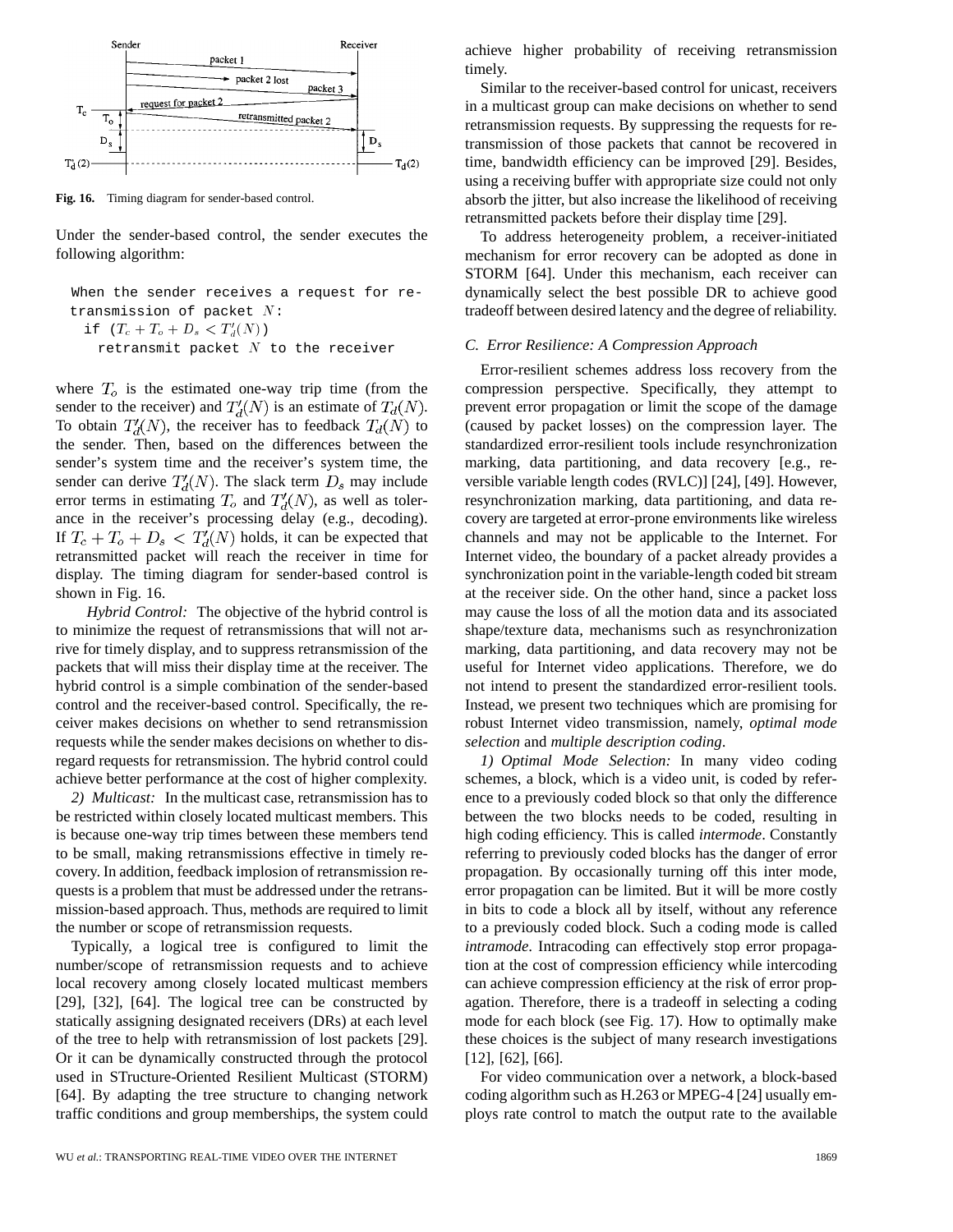

**Fig. 16.** Timing diagram for sender-based control.

Under the sender-based control, the sender executes the following algorithm:

```
When the sender receives a request for re-
transmission of packet N:
 if (T_c + T_o + D_s < T'_d(N))retransmit packet N to the receiver
```
where  $T<sub>o</sub>$  is the estimated one-way trip time (from the sender to the receiver) and  $T_d(N)$  is an estimate of  $T_d(N)$ . To obtain  $T'_d(N)$ , the receiver has to feedback  $T_d(N)$  to the sender. Then, based on the differences between the sender's system time and the receiver's system time, the sender can derive  $T'_d(N)$ . The slack term  $D_s$  may include error terms in estimating  $T_o$  and  $T'_d(N)$ , as well as tolerance in the receiver's processing delay (e.g., decoding). If  $T_c + T_o + D_s < T'_d(N)$  holds, it can be expected that retransmitted packet will reach the receiver in time for display. The timing diagram for sender-based control is shown in Fig. 16.

*Hybrid Control:* The objective of the hybrid control is to minimize the request of retransmissions that will not arrive for timely display, and to suppress retransmission of the packets that will miss their display time at the receiver. The hybrid control is a simple combination of the sender-based control and the receiver-based control. Specifically, the receiver makes decisions on whether to send retransmission requests while the sender makes decisions on whether to disregard requests for retransmission. The hybrid control could achieve better performance at the cost of higher complexity.

*2) Multicast:* In the multicast case, retransmission has to be restricted within closely located multicast members. This is because one-way trip times between these members tend to be small, making retransmissions effective in timely recovery. In addition, feedback implosion of retransmission requests is a problem that must be addressed under the retransmission-based approach. Thus, methods are required to limit the number or scope of retransmission requests.

Typically, a logical tree is configured to limit the number/scope of retransmission requests and to achieve local recovery among closely located multicast members [29], [32], [64]. The logical tree can be constructed by statically assigning designated receivers (DRs) at each level of the tree to help with retransmission of lost packets [29]. Or it can be dynamically constructed through the protocol used in STructure-Oriented Resilient Multicast (STORM) [64]. By adapting the tree structure to changing network traffic conditions and group memberships, the system could achieve higher probability of receiving retransmission timely.

Similar to the receiver-based control for unicast, receivers in a multicast group can make decisions on whether to send retransmission requests. By suppressing the requests for retransmission of those packets that cannot be recovered in time, bandwidth efficiency can be improved [29]. Besides, using a receiving buffer with appropriate size could not only absorb the jitter, but also increase the likelihood of receiving retransmitted packets before their display time [29].

To address heterogeneity problem, a receiver-initiated mechanism for error recovery can be adopted as done in STORM [64]. Under this mechanism, each receiver can dynamically select the best possible DR to achieve good tradeoff between desired latency and the degree of reliability.

## *C. Error Resilience: A Compression Approach*

Error-resilient schemes address loss recovery from the compression perspective. Specifically, they attempt to prevent error propagation or limit the scope of the damage (caused by packet losses) on the compression layer. The standardized error-resilient tools include resynchronization marking, data partitioning, and data recovery [e.g., reversible variable length codes (RVLC)] [24], [49]. However, resynchronization marking, data partitioning, and data recovery are targeted at error-prone environments like wireless channels and may not be applicable to the Internet. For Internet video, the boundary of a packet already provides a synchronization point in the variable-length coded bit stream at the receiver side. On the other hand, since a packet loss may cause the loss of all the motion data and its associated shape/texture data, mechanisms such as resynchronization marking, data partitioning, and data recovery may not be useful for Internet video applications. Therefore, we do not intend to present the standardized error-resilient tools. Instead, we present two techniques which are promising for robust Internet video transmission, namely, *optimal mode selection* and *multiple description coding*.

*1) Optimal Mode Selection:* In many video coding schemes, a block, which is a video unit, is coded by reference to a previously coded block so that only the difference between the two blocks needs to be coded, resulting in high coding efficiency. This is called *intermode*. Constantly referring to previously coded blocks has the danger of error propagation. By occasionally turning off this inter mode, error propagation can be limited. But it will be more costly in bits to code a block all by itself, without any reference to a previously coded block. Such a coding mode is called *intramode*. Intracoding can effectively stop error propagation at the cost of compression efficiency while intercoding can achieve compression efficiency at the risk of error propagation. Therefore, there is a tradeoff in selecting a coding mode for each block (see Fig. 17). How to optimally make these choices is the subject of many research investigations [12], [62], [66].

For video communication over a network, a block-based coding algorithm such as H.263 or MPEG-4 [24] usually employs rate control to match the output rate to the available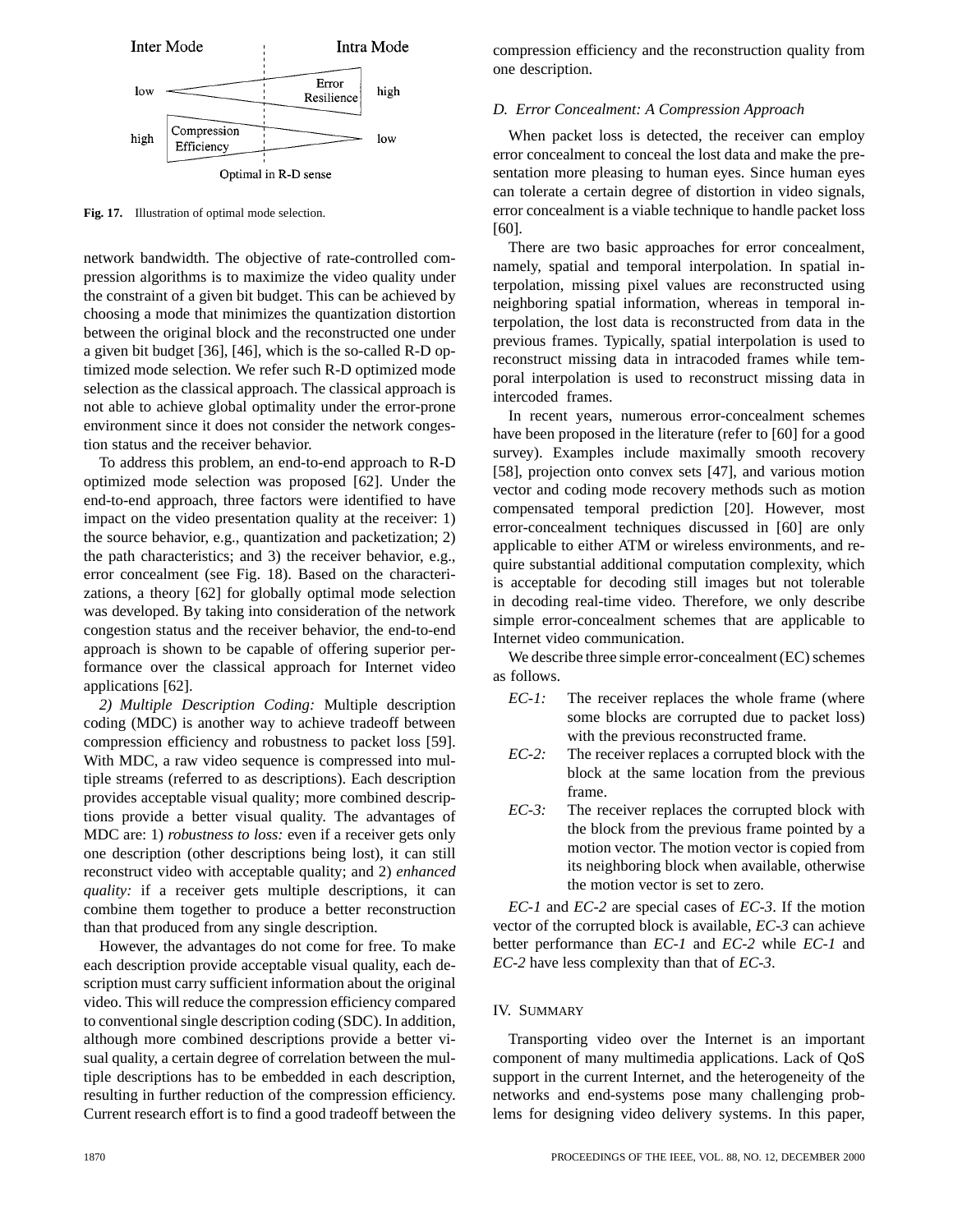

**Fig. 17.** Illustration of optimal mode selection.

network bandwidth. The objective of rate-controlled compression algorithms is to maximize the video quality under the constraint of a given bit budget. This can be achieved by choosing a mode that minimizes the quantization distortion between the original block and the reconstructed one under a given bit budget [36], [46], which is the so-called R-D optimized mode selection. We refer such R-D optimized mode selection as the classical approach. The classical approach is not able to achieve global optimality under the error-prone environment since it does not consider the network congestion status and the receiver behavior.

To address this problem, an end-to-end approach to R-D optimized mode selection was proposed [62]. Under the end-to-end approach, three factors were identified to have impact on the video presentation quality at the receiver: 1) the source behavior, e.g., quantization and packetization; 2) the path characteristics; and 3) the receiver behavior, e.g., error concealment (see Fig. 18). Based on the characterizations, a theory [62] for globally optimal mode selection was developed. By taking into consideration of the network congestion status and the receiver behavior, the end-to-end approach is shown to be capable of offering superior performance over the classical approach for Internet video applications [62].

*2) Multiple Description Coding:* Multiple description coding (MDC) is another way to achieve tradeoff between compression efficiency and robustness to packet loss [59]. With MDC, a raw video sequence is compressed into multiple streams (referred to as descriptions). Each description provides acceptable visual quality; more combined descriptions provide a better visual quality. The advantages of MDC are: 1) *robustness to loss:* even if a receiver gets only one description (other descriptions being lost), it can still reconstruct video with acceptable quality; and 2) *enhanced quality:* if a receiver gets multiple descriptions, it can combine them together to produce a better reconstruction than that produced from any single description.

However, the advantages do not come for free. To make each description provide acceptable visual quality, each description must carry sufficient information about the original video. This will reduce the compression efficiency compared to conventional single description coding (SDC). In addition, although more combined descriptions provide a better visual quality, a certain degree of correlation between the multiple descriptions has to be embedded in each description, resulting in further reduction of the compression efficiency. Current research effort is to find a good tradeoff between the

compression efficiency and the reconstruction quality from one description.

## *D. Error Concealment: A Compression Approach*

When packet loss is detected, the receiver can employ error concealment to conceal the lost data and make the presentation more pleasing to human eyes. Since human eyes can tolerate a certain degree of distortion in video signals, error concealment is a viable technique to handle packet loss [60].

There are two basic approaches for error concealment, namely, spatial and temporal interpolation. In spatial interpolation, missing pixel values are reconstructed using neighboring spatial information, whereas in temporal interpolation, the lost data is reconstructed from data in the previous frames. Typically, spatial interpolation is used to reconstruct missing data in intracoded frames while temporal interpolation is used to reconstruct missing data in intercoded frames.

In recent years, numerous error-concealment schemes have been proposed in the literature (refer to [60] for a good survey). Examples include maximally smooth recovery [58], projection onto convex sets [47], and various motion vector and coding mode recovery methods such as motion compensated temporal prediction [20]. However, most error-concealment techniques discussed in [60] are only applicable to either ATM or wireless environments, and require substantial additional computation complexity, which is acceptable for decoding still images but not tolerable in decoding real-time video. Therefore, we only describe simple error-concealment schemes that are applicable to Internet video communication.

We describe three simple error-concealment (EC) schemes as follows.

- *EC-1:* The receiver replaces the whole frame (where some blocks are corrupted due to packet loss) with the previous reconstructed frame.
- *EC-2:* The receiver replaces a corrupted block with the block at the same location from the previous frame.
- *EC-3:* The receiver replaces the corrupted block with the block from the previous frame pointed by a motion vector. The motion vector is copied from its neighboring block when available, otherwise the motion vector is set to zero.

*EC-1* and *EC-2* are special cases of *EC-3*. If the motion vector of the corrupted block is available, *EC-3* can achieve better performance than *EC-1* and *EC-2* while *EC-1* and *EC-2* have less complexity than that of *EC-3*.

# IV. SUMMARY

Transporting video over the Internet is an important component of many multimedia applications. Lack of QoS support in the current Internet, and the heterogeneity of the networks and end-systems pose many challenging problems for designing video delivery systems. In this paper,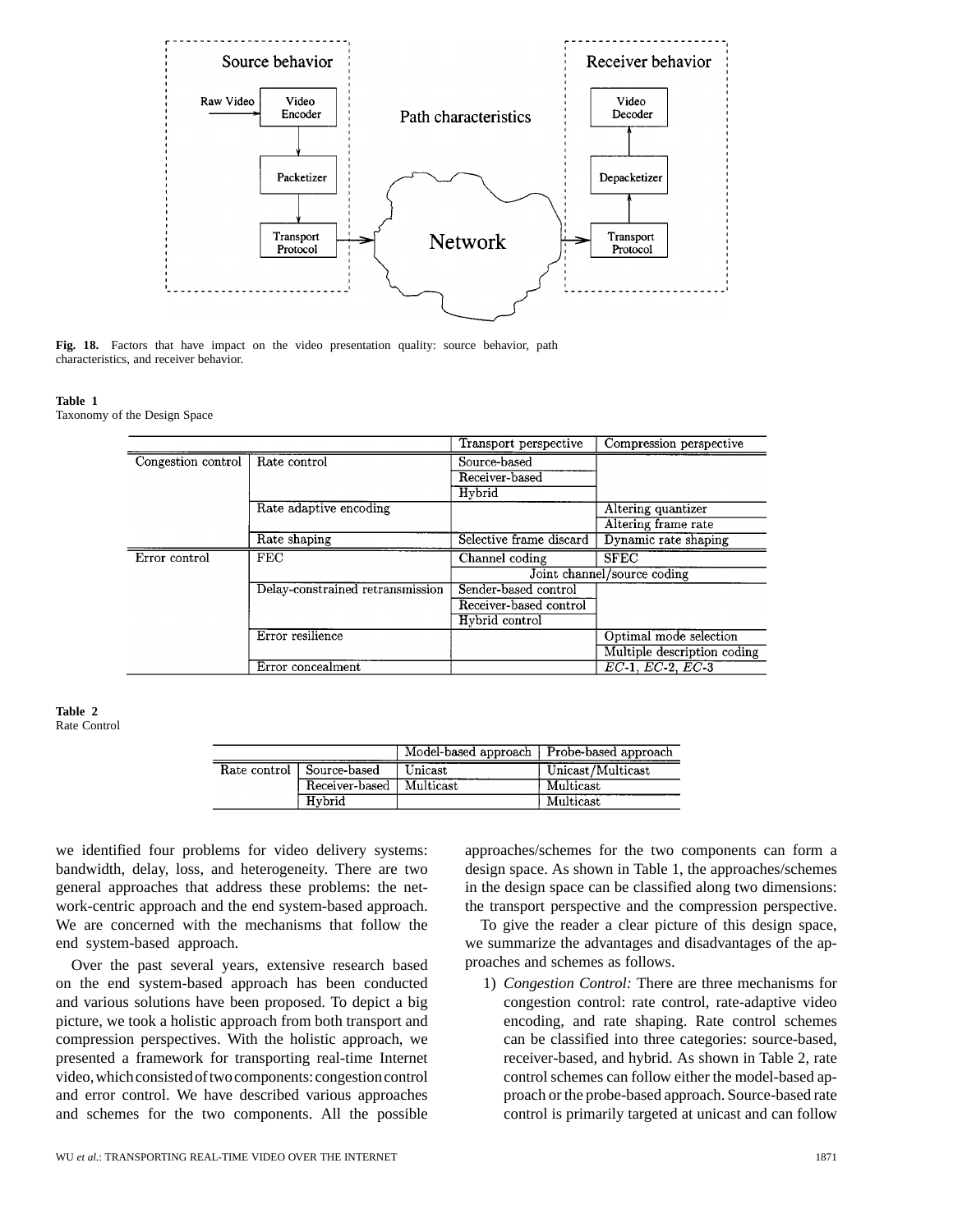

Fig. 18. Factors that have impact on the video presentation quality: source behavior, path characteristics, and receiver behavior.

#### **Table 1**

Taxonomy of the Design Space

|                    |                                  | Transport perspective       | Compression perspective     |
|--------------------|----------------------------------|-----------------------------|-----------------------------|
| Congestion control | Rate control                     | Source-based                |                             |
|                    |                                  | Receiver-based              |                             |
|                    |                                  | Hybrid                      |                             |
|                    | Rate adaptive encoding           |                             | Altering quantizer          |
|                    |                                  |                             | Altering frame rate         |
|                    | Rate shaping                     | Selective frame discard     | Dynamic rate shaping        |
| Error control      | <b>FEC</b>                       | Channel coding              | <b>SFEC</b>                 |
|                    |                                  | Joint channel/source coding |                             |
|                    | Delay-constrained retransmission | Sender-based control        |                             |
|                    |                                  | Receiver-based control      |                             |
|                    |                                  | Hybrid control              |                             |
|                    | Error resilience                 |                             | Optimal mode selection      |
|                    |                                  |                             | Multiple description coding |
|                    | Error concealment                |                             | $EC-1, EC-2, EC-3$          |

**Table 2** Rate Control

|                             | Model-based approach | Probe-based approach |
|-----------------------------|----------------------|----------------------|
| Rate control   Source-based | Unicast              | Unicast/Multicast    |
| Receiver-based              | Multicast            | Multicast            |
| Hybrid                      |                      | Multicast            |

we identified four problems for video delivery systems: bandwidth, delay, loss, and heterogeneity. There are two general approaches that address these problems: the network-centric approach and the end system-based approach. We are concerned with the mechanisms that follow the end system-based approach.

Over the past several years, extensive research based on the end system-based approach has been conducted and various solutions have been proposed. To depict a big picture, we took a holistic approach from both transport and compression perspectives. With the holistic approach, we presented a framework for transporting real-time Internet video, which consisted of two components: congestion control and error control. We have described various approaches and schemes for the two components. All the possible approaches/schemes for the two components can form a design space. As shown in Table 1, the approaches/schemes in the design space can be classified along two dimensions: the transport perspective and the compression perspective.

To give the reader a clear picture of this design space, we summarize the advantages and disadvantages of the approaches and schemes as follows.

1) *Congestion Control:* There are three mechanisms for congestion control: rate control, rate-adaptive video encoding, and rate shaping. Rate control schemes can be classified into three categories: source-based, receiver-based, and hybrid. As shown in Table 2, rate control schemes can follow either the model-based approach or the probe-based approach. Source-based rate control is primarily targeted at unicast and can follow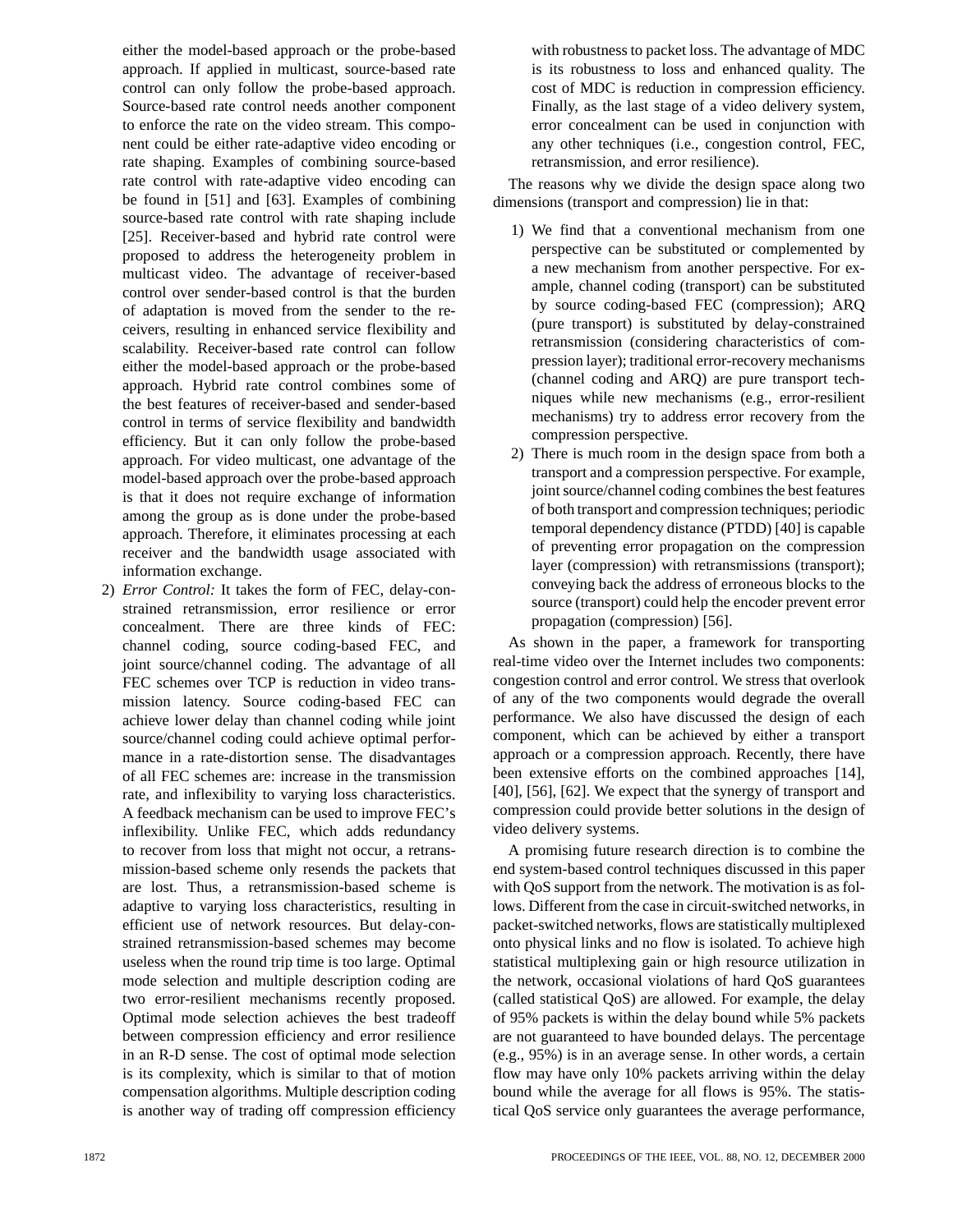either the model-based approach or the probe-based approach. If applied in multicast, source-based rate control can only follow the probe-based approach. Source-based rate control needs another component to enforce the rate on the video stream. This component could be either rate-adaptive video encoding or rate shaping. Examples of combining source-based rate control with rate-adaptive video encoding can be found in [51] and [63]. Examples of combining source-based rate control with rate shaping include [25]. Receiver-based and hybrid rate control were proposed to address the heterogeneity problem in multicast video. The advantage of receiver-based control over sender-based control is that the burden of adaptation is moved from the sender to the receivers, resulting in enhanced service flexibility and scalability. Receiver-based rate control can follow either the model-based approach or the probe-based approach. Hybrid rate control combines some of the best features of receiver-based and sender-based control in terms of service flexibility and bandwidth efficiency. But it can only follow the probe-based approach. For video multicast, one advantage of the model-based approach over the probe-based approach is that it does not require exchange of information among the group as is done under the probe-based approach. Therefore, it eliminates processing at each receiver and the bandwidth usage associated with information exchange.

2) *Error Control:* It takes the form of FEC, delay-constrained retransmission, error resilience or error concealment. There are three kinds of FEC: channel coding, source coding-based FEC, and joint source/channel coding. The advantage of all FEC schemes over TCP is reduction in video transmission latency. Source coding-based FEC can achieve lower delay than channel coding while joint source/channel coding could achieve optimal performance in a rate-distortion sense. The disadvantages of all FEC schemes are: increase in the transmission rate, and inflexibility to varying loss characteristics. A feedback mechanism can be used to improve FEC's inflexibility. Unlike FEC, which adds redundancy to recover from loss that might not occur, a retransmission-based scheme only resends the packets that are lost. Thus, a retransmission-based scheme is adaptive to varying loss characteristics, resulting in efficient use of network resources. But delay-constrained retransmission-based schemes may become useless when the round trip time is too large. Optimal mode selection and multiple description coding are two error-resilient mechanisms recently proposed. Optimal mode selection achieves the best tradeoff between compression efficiency and error resilience in an R-D sense. The cost of optimal mode selection is its complexity, which is similar to that of motion compensation algorithms. Multiple description coding is another way of trading off compression efficiency

with robustness to packet loss. The advantage of MDC is its robustness to loss and enhanced quality. The cost of MDC is reduction in compression efficiency. Finally, as the last stage of a video delivery system, error concealment can be used in conjunction with any other techniques (i.e., congestion control, FEC, retransmission, and error resilience).

The reasons why we divide the design space along two dimensions (transport and compression) lie in that:

- 1) We find that a conventional mechanism from one perspective can be substituted or complemented by a new mechanism from another perspective. For example, channel coding (transport) can be substituted by source coding-based FEC (compression); ARQ (pure transport) is substituted by delay-constrained retransmission (considering characteristics of compression layer); traditional error-recovery mechanisms (channel coding and ARQ) are pure transport techniques while new mechanisms (e.g., error-resilient mechanisms) try to address error recovery from the compression perspective.
- 2) There is much room in the design space from both a transport and a compression perspective. For example, joint source/channel coding combines the best features of both transport and compression techniques; periodic temporal dependency distance (PTDD) [40] is capable of preventing error propagation on the compression layer (compression) with retransmissions (transport); conveying back the address of erroneous blocks to the source (transport) could help the encoder prevent error propagation (compression) [56].

As shown in the paper, a framework for transporting real-time video over the Internet includes two components: congestion control and error control. We stress that overlook of any of the two components would degrade the overall performance. We also have discussed the design of each component, which can be achieved by either a transport approach or a compression approach. Recently, there have been extensive efforts on the combined approaches [14], [40], [56], [62]. We expect that the synergy of transport and compression could provide better solutions in the design of video delivery systems.

A promising future research direction is to combine the end system-based control techniques discussed in this paper with QoS support from the network. The motivation is as follows. Different from the case in circuit-switched networks, in packet-switched networks, flows are statistically multiplexed onto physical links and no flow is isolated. To achieve high statistical multiplexing gain or high resource utilization in the network, occasional violations of hard QoS guarantees (called statistical QoS) are allowed. For example, the delay of 95% packets is within the delay bound while 5% packets are not guaranteed to have bounded delays. The percentage (e.g., 95%) is in an average sense. In other words, a certain flow may have only 10% packets arriving within the delay bound while the average for all flows is 95%. The statistical QoS service only guarantees the average performance,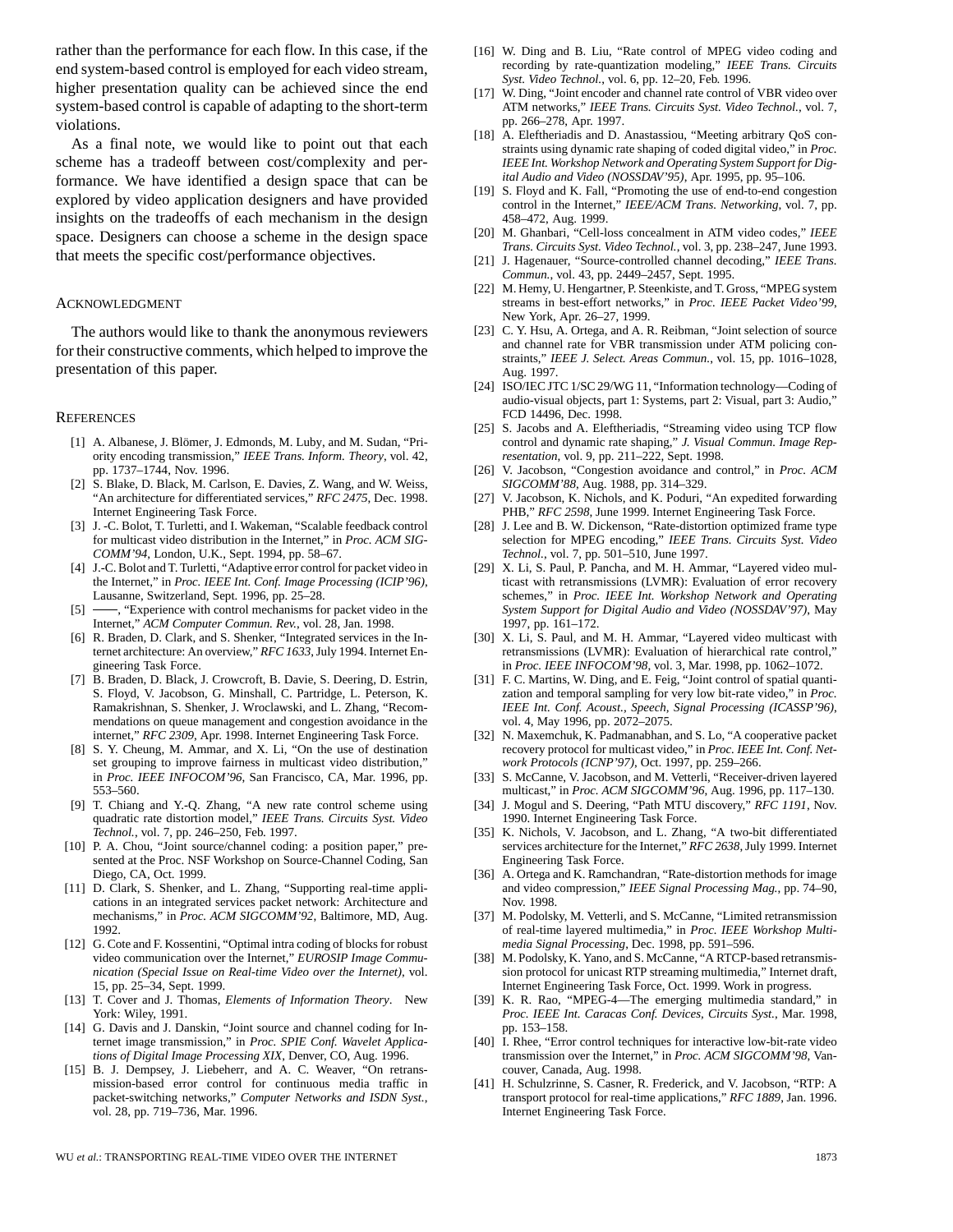rather than the performance for each flow. In this case, if the end system-based control is employed for each video stream, higher presentation quality can be achieved since the end system-based control is capable of adapting to the short-term violations.

As a final note, we would like to point out that each scheme has a tradeoff between cost/complexity and performance. We have identified a design space that can be explored by video application designers and have provided insights on the tradeoffs of each mechanism in the design space. Designers can choose a scheme in the design space that meets the specific cost/performance objectives.

#### ACKNOWLEDGMENT

The authors would like to thank the anonymous reviewers for their constructive comments, which helped to improve the presentation of this paper.

#### **REFERENCES**

- [1] A. Albanese, J. Blömer, J. Edmonds, M. Luby, and M. Sudan, "Priority encoding transmission," *IEEE Trans. Inform. Theory*, vol. 42, pp. 1737–1744, Nov. 1996.
- [2] S. Blake, D. Black, M. Carlson, E. Davies, Z. Wang, and W. Weiss, "An architecture for differentiated services," *RFC 2475*, Dec. 1998. Internet Engineering Task Force.
- [3] J. -C. Bolot, T. Turletti, and I. Wakeman, "Scalable feedback control for multicast video distribution in the Internet," in *Proc. ACM SIG-COMM'94*, London, U.K., Sept. 1994, pp. 58–67.
- [4] J.-C. Bolot and T. Turletti, "Adaptive error control for packet video in the Internet," in *Proc. IEEE Int. Conf. Image Processing (ICIP'96)*, Lausanne, Switzerland, Sept. 1996, pp. 25–28.
- [5]  $\rightarrow$  "Experience with control mechanisms for packet video in the Internet," *ACM Computer Commun. Rev.*, vol. 28, Jan. 1998.
- [6] R. Braden, D. Clark, and S. Shenker, "Integrated services in the Internet architecture: An overview," *RFC 1633*, July 1994. Internet Engineering Task Force.
- [7] B. Braden, D. Black, J. Crowcroft, B. Davie, S. Deering, D. Estrin, S. Floyd, V. Jacobson, G. Minshall, C. Partridge, L. Peterson, K. Ramakrishnan, S. Shenker, J. Wroclawski, and L. Zhang, "Recommendations on queue management and congestion avoidance in the internet," *RFC 2309*, Apr. 1998. Internet Engineering Task Force.
- [8] S. Y. Cheung, M. Ammar, and X. Li, "On the use of destination set grouping to improve fairness in multicast video distribution," in *Proc. IEEE INFOCOM'96*, San Francisco, CA, Mar. 1996, pp. 553–560.
- [9] T. Chiang and Y.-Q. Zhang, "A new rate control scheme using quadratic rate distortion model," *IEEE Trans. Circuits Syst. Video Technol.*, vol. 7, pp. 246–250, Feb. 1997.
- [10] P. A. Chou, "Joint source/channel coding: a position paper," presented at the Proc. NSF Workshop on Source-Channel Coding, San Diego, CA, Oct. 1999.
- [11] D. Clark, S. Shenker, and L. Zhang, "Supporting real-time applications in an integrated services packet network: Architecture and mechanisms," in *Proc. ACM SIGCOMM'92*, Baltimore, MD, Aug. 1992.
- [12] G. Cote and F. Kossentini, "Optimal intra coding of blocks for robust" video communication over the Internet," *EUROSIP Image Communication (Special Issue on Real-time Video over the Internet)*, vol. 15, pp. 25–34, Sept. 1999.
- [13] T. Cover and J. Thomas, *Elements of Information Theory*. New York: Wiley, 1991.
- [14] G. Davis and J. Danskin, "Joint source and channel coding for Internet image transmission," in *Proc. SPIE Conf. Wavelet Applications of Digital Image Processing XIX*, Denver, CO, Aug. 1996.
- [15] B. J. Dempsey, J. Liebeherr, and A. C. Weaver, "On retransmission-based error control for continuous media traffic in packet-switching networks," *Computer Networks and ISDN Syst.*, vol. 28, pp. 719–736, Mar. 1996.
- [16] W. Ding and B. Liu, "Rate control of MPEG video coding and recording by rate-quantization modeling," *IEEE Trans. Circuits Syst. Video Technol.*, vol. 6, pp. 12–20, Feb. 1996.
- [17] W. Ding, "Joint encoder and channel rate control of VBR video over ATM networks," *IEEE Trans. Circuits Syst. Video Technol.*, vol. 7, pp. 266–278, Apr. 1997.
- [18] A. Eleftheriadis and D. Anastassiou, "Meeting arbitrary QoS constraints using dynamic rate shaping of coded digital video," in *Proc. IEEE Int. Workshop Network and Operating System Support for Digital Audio and Video (NOSSDAV'95)*, Apr. 1995, pp. 95–106.
- [19] S. Floyd and K. Fall, "Promoting the use of end-to-end congestion control in the Internet," *IEEE/ACM Trans. Networking*, vol. 7, pp. 458–472, Aug. 1999.
- [20] M. Ghanbari, "Cell-loss concealment in ATM video codes," *IEEE Trans. Circuits Syst. Video Technol.*, vol. 3, pp. 238–247, June 1993.
- [21] J. Hagenauer, "Source-controlled channel decoding," *IEEE Trans. Commun.*, vol. 43, pp. 2449–2457, Sept. 1995.
- [22] M. Hemy, U. Hengartner, P. Steenkiste, and T. Gross, "MPEG system streams in best-effort networks," in *Proc. IEEE Packet Video'99*, New York, Apr. 26–27, 1999.
- [23] C. Y. Hsu, A. Ortega, and A. R. Reibman, "Joint selection of source and channel rate for VBR transmission under ATM policing constraints," *IEEE J. Select. Areas Commun.*, vol. 15, pp. 1016–1028, Aug. 1997.
- [24] ISO/IEC JTC 1/SC 29/WG 11, "Information technology—Coding of audio-visual objects, part 1: Systems, part 2: Visual, part 3: Audio," FCD 14496, Dec. 1998.
- [25] S. Jacobs and A. Eleftheriadis, "Streaming video using TCP flow control and dynamic rate shaping," *J. Visual Commun. Image Representation*, vol. 9, pp. 211–222, Sept. 1998.
- [26] V. Jacobson, "Congestion avoidance and control," in *Proc. ACM SIGCOMM'88*, Aug. 1988, pp. 314–329.
- [27] V. Jacobson, K. Nichols, and K. Poduri, "An expedited forwarding PHB," *RFC 2598*, June 1999. Internet Engineering Task Force.
- [28] J. Lee and B. W. Dickenson, "Rate-distortion optimized frame type selection for MPEG encoding," *IEEE Trans. Circuits Syst. Video Technol.*, vol. 7, pp. 501–510, June 1997.
- [29] X. Li, S. Paul, P. Pancha, and M. H. Ammar, "Layered video multicast with retransmissions (LVMR): Evaluation of error recovery schemes," in *Proc. IEEE Int. Workshop Network and Operating System Support for Digital Audio and Video (NOSSDAV'97)*, May 1997, pp. 161–172.
- [30] X. Li, S. Paul, and M. H. Ammar, "Layered video multicast with retransmissions (LVMR): Evaluation of hierarchical rate control," in *Proc. IEEE INFOCOM'98*, vol. 3, Mar. 1998, pp. 1062–1072.
- [31] F. C. Martins, W. Ding, and E. Feig, "Joint control of spatial quantization and temporal sampling for very low bit-rate video," in *Proc. IEEE Int. Conf. Acoust., Speech, Signal Processing (ICASSP'96)*, vol. 4, May 1996, pp. 2072–2075.
- [32] N. Maxemchuk, K. Padmanabhan, and S. Lo, "A cooperative packet recovery protocol for multicast video," in *Proc. IEEE Int. Conf. Network Protocols (ICNP'97)*, Oct. 1997, pp. 259–266.
- [33] S. McCanne, V. Jacobson, and M. Vetterli, "Receiver-driven layered multicast," in *Proc. ACM SIGCOMM'96*, Aug. 1996, pp. 117–130.
- [34] J. Mogul and S. Deering, "Path MTU discovery," *RFC 1191*, Nov. 1990. Internet Engineering Task Force.
- [35] K. Nichols, V. Jacobson, and L. Zhang, "A two-bit differentiated services architecture for the Internet," *RFC 2638*, July 1999. Internet Engineering Task Force.
- [36] A. Ortega and K. Ramchandran, "Rate-distortion methods for image and video compression," *IEEE Signal Processing Mag.*, pp. 74–90, Nov. 1998.
- [37] M. Podolsky, M. Vetterli, and S. McCanne, "Limited retransmission of real-time layered multimedia," in *Proc. IEEE Workshop Multimedia Signal Processing*, Dec. 1998, pp. 591–596.
- [38] M. Podolsky, K. Yano, and S. McCanne, "A RTCP-based retransmission protocol for unicast RTP streaming multimedia," Internet draft, Internet Engineering Task Force, Oct. 1999. Work in progress.
- [39] K. R. Rao, "MPEG-4—The emerging multimedia standard," in *Proc. IEEE Int. Caracas Conf. Devices, Circuits Syst.*, Mar. 1998, pp. 153–158.
- [40] I. Rhee, "Error control techniques for interactive low-bit-rate video transmission over the Internet," in *Proc. ACM SIGCOMM'98*, Vancouver, Canada, Aug. 1998.
- [41] H. Schulzrinne, S. Casner, R. Frederick, and V. Jacobson, "RTP: A transport protocol for real-time applications," *RFC 1889*, Jan. 1996. Internet Engineering Task Force.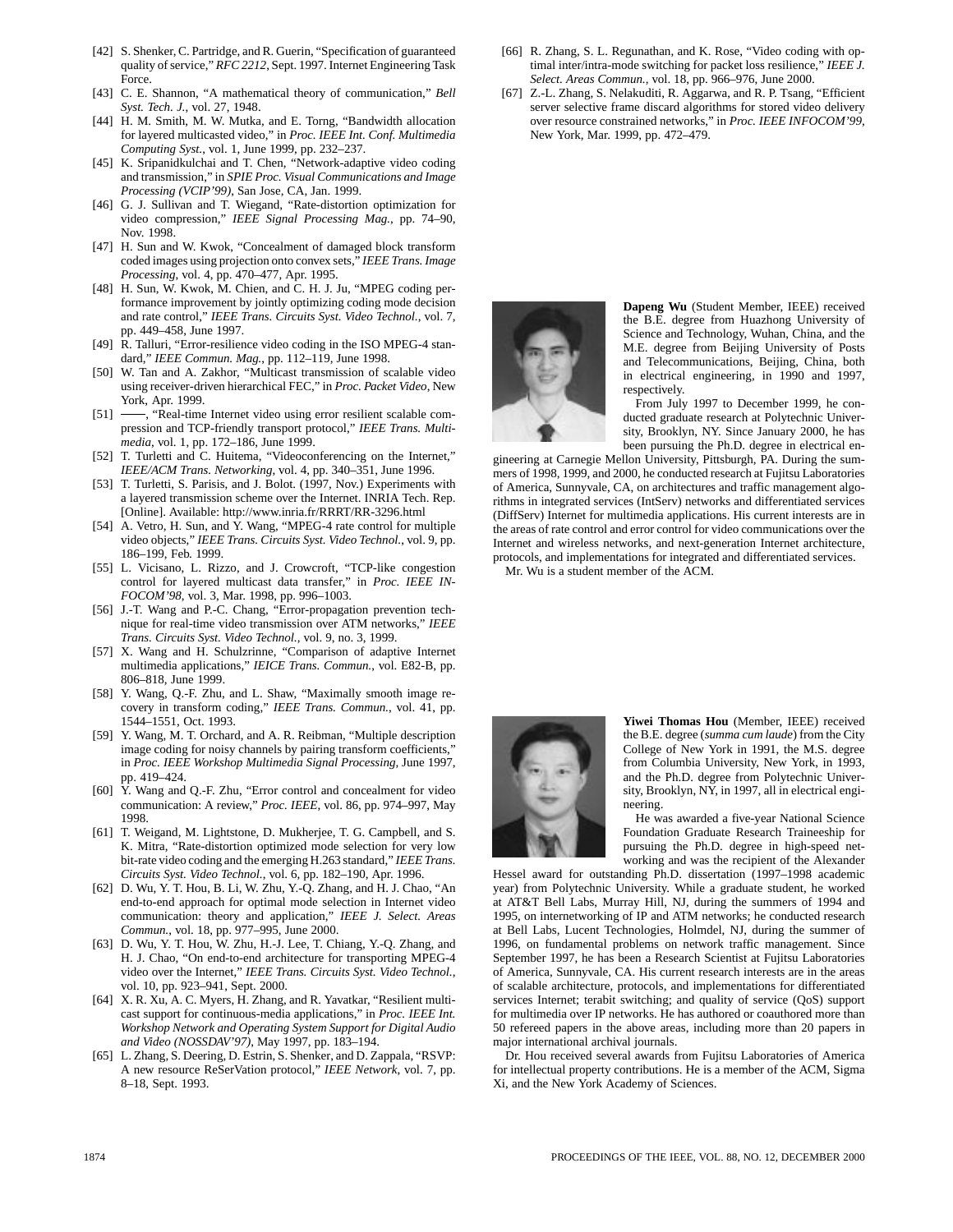- [42] S. Shenker, C. Partridge, and R. Guerin, "Specification of guaranteed quality of service," *RFC 2212*, Sept. 1997. Internet Engineering Task Force.
- [43] C. E. Shannon, "A mathematical theory of communication," *Bell Syst. Tech. J.*, vol. 27, 1948.
- [44] H. M. Smith, M. W. Mutka, and E. Torng, "Bandwidth allocation for layered multicasted video," in *Proc. IEEE Int. Conf. Multimedia Computing Syst.*, vol. 1, June 1999, pp. 232–237.
- [45] K. Sripanidkulchai and T. Chen, "Network-adaptive video coding and transmission," in *SPIE Proc. Visual Communications and Image Processing (VCIP'99)*, San Jose, CA, Jan. 1999.
- [46] G. J. Sullivan and T. Wiegand, "Rate-distortion optimization for video compression," *IEEE Signal Processing Mag.*, pp. 74–90, Nov. 1998.
- [47] H. Sun and W. Kwok, "Concealment of damaged block transform coded images using projection onto convex sets," *IEEE Trans. Image Processing*, vol. 4, pp. 470–477, Apr. 1995.
- [48] H. Sun, W. Kwok, M. Chien, and C. H. J. Ju, "MPEG coding performance improvement by jointly optimizing coding mode decision and rate control," *IEEE Trans. Circuits Syst. Video Technol.*, vol. 7, pp. 449–458, June 1997.
- [49] R. Talluri, "Error-resilience video coding in the ISO MPEG-4 standard," *IEEE Commun. Mag.*, pp. 112–119, June 1998.
- [50] W. Tan and A. Zakhor, "Multicast transmission of scalable video using receiver-driven hierarchical FEC," in *Proc. Packet Video*, New York, Apr. 1999.
- [51]  $\rightarrow$  "Real-time Internet video using error resilient scalable compression and TCP-friendly transport protocol," *IEEE Trans. Multimedia*, vol. 1, pp. 172–186, June 1999.
- [52] T. Turletti and C. Huitema, "Videoconferencing on the Internet," *IEEE/ACM Trans. Networking*, vol. 4, pp. 340–351, June 1996.
- [53] T. Turletti, S. Parisis, and J. Bolot. (1997, Nov.) Experiments with a layered transmission scheme over the Internet. INRIA Tech. Rep. [Online]. Available: http://www.inria.fr/RRRT/RR-3296.html
- [54] A. Vetro, H. Sun, and Y. Wang, "MPEG-4 rate control for multiple video objects," *IEEE Trans. Circuits Syst. Video Technol.*, vol. 9, pp. 186–199, Feb. 1999.
- [55] L. Vicisano, L. Rizzo, and J. Crowcroft, "TCP-like congestion control for layered multicast data transfer," in *Proc. IEEE IN-FOCOM'98*, vol. 3, Mar. 1998, pp. 996–1003.
- [56] J.-T. Wang and P.-C. Chang, "Error-propagation prevention technique for real-time video transmission over ATM networks," *IEEE Trans. Circuits Syst. Video Technol.*, vol. 9, no. 3, 1999.
- [57] X. Wang and H. Schulzrinne, "Comparison of adaptive Internet multimedia applications," *IEICE Trans. Commun.*, vol. E82-B, pp. 806–818, June 1999.
- [58] Y. Wang, Q.-F. Zhu, and L. Shaw, "Maximally smooth image recovery in transform coding," *IEEE Trans. Commun.*, vol. 41, pp. 1544–1551, Oct. 1993.
- [59] Y. Wang, M. T. Orchard, and A. R. Reibman, "Multiple description image coding for noisy channels by pairing transform coefficients," in *Proc. IEEE Workshop Multimedia Signal Processing*, June 1997, pp. 419–424.
- [60] Y. Wang and Q.-F. Zhu, "Error control and concealment for video communication: A review," *Proc. IEEE*, vol. 86, pp. 974–997, May 1998.
- [61] T. Weigand, M. Lightstone, D. Mukherjee, T. G. Campbell, and S. K. Mitra, "Rate-distortion optimized mode selection for very low bit-rate video coding and the emerging H.263 standard," *IEEE Trans. Circuits Syst. Video Technol.*, vol. 6, pp. 182–190, Apr. 1996.
- [62] D. Wu, Y. T. Hou, B. Li, W. Zhu, Y.-Q. Zhang, and H. J. Chao, "An end-to-end approach for optimal mode selection in Internet video communication: theory and application," *IEEE J. Select. Areas Commun.*, vol. 18, pp. 977–995, June 2000.
- [63] D. Wu, Y. T. Hou, W. Zhu, H.-J. Lee, T. Chiang, Y.-Q. Zhang, and H. J. Chao, "On end-to-end architecture for transporting MPEG-4 video over the Internet," *IEEE Trans. Circuits Syst. Video Technol.*, vol. 10, pp. 923–941, Sept. 2000.
- [64] X. R. Xu, A. C. Myers, H. Zhang, and R. Yavatkar, "Resilient multicast support for continuous-media applications," in *Proc. IEEE Int. Workshop Network and Operating System Support for Digital Audio and Video (NOSSDAV'97)*, May 1997, pp. 183–194.
- [65] L. Zhang, S. Deering, D. Estrin, S. Shenker, and D. Zappala, "RSVP: A new resource ReSerVation protocol," *IEEE Network*, vol. 7, pp. 8–18, Sept. 1993.
- [66] R. Zhang, S. L. Regunathan, and K. Rose, "Video coding with optimal inter/intra-mode switching for packet loss resilience," *IEEE J. Select. Areas Commun.*, vol. 18, pp. 966–976, June 2000.
- [67] Z.-L. Zhang, S. Nelakuditi, R. Aggarwa, and R. P. Tsang, "Efficient server selective frame discard algorithms for stored video delivery over resource constrained networks," in *Proc. IEEE INFOCOM'99*, New York, Mar. 1999, pp. 472–479.



**Dapeng Wu** (Student Member, IEEE) received the B.E. degree from Huazhong University of Science and Technology, Wuhan, China, and the M.E. degree from Beijing University of Posts and Telecommunications, Beijing, China, both in electrical engineering, in 1990 and 1997, respectively.

From July 1997 to December 1999, he conducted graduate research at Polytechnic University, Brooklyn, NY. Since January 2000, he has been pursuing the Ph.D. degree in electrical en-

gineering at Carnegie Mellon University, Pittsburgh, PA. During the summers of 1998, 1999, and 2000, he conducted research at Fujitsu Laboratories of America, Sunnyvale, CA, on architectures and traffic management algorithms in integrated services (IntServ) networks and differentiated services (DiffServ) Internet for multimedia applications. His current interests are in the areas of rate control and error control for video communications over the Internet and wireless networks, and next-generation Internet architecture, protocols, and implementations for integrated and differentiated services.

Mr. Wu is a student member of the ACM.



**Yiwei Thomas Hou** (Member, IEEE) received the B.E. degree (*summa cum laude*) from the City College of New York in 1991, the M.S. degree from Columbia University, New York, in 1993, and the Ph.D. degree from Polytechnic University, Brooklyn, NY, in 1997, all in electrical engineering.

He was awarded a five-year National Science Foundation Graduate Research Traineeship for pursuing the Ph.D. degree in high-speed networking and was the recipient of the Alexander

Hessel award for outstanding Ph.D. dissertation (1997–1998 academic year) from Polytechnic University. While a graduate student, he worked at AT&T Bell Labs, Murray Hill, NJ, during the summers of 1994 and 1995, on internetworking of IP and ATM networks; he conducted research at Bell Labs, Lucent Technologies, Holmdel, NJ, during the summer of 1996, on fundamental problems on network traffic management. Since September 1997, he has been a Research Scientist at Fujitsu Laboratories of America, Sunnyvale, CA. His current research interests are in the areas of scalable architecture, protocols, and implementations for differentiated services Internet; terabit switching; and quality of service (QoS) support for multimedia over IP networks. He has authored or coauthored more than 50 refereed papers in the above areas, including more than 20 papers in major international archival journals.

Dr. Hou received several awards from Fujitsu Laboratories of America for intellectual property contributions. He is a member of the ACM, Sigma Xi, and the New York Academy of Sciences.